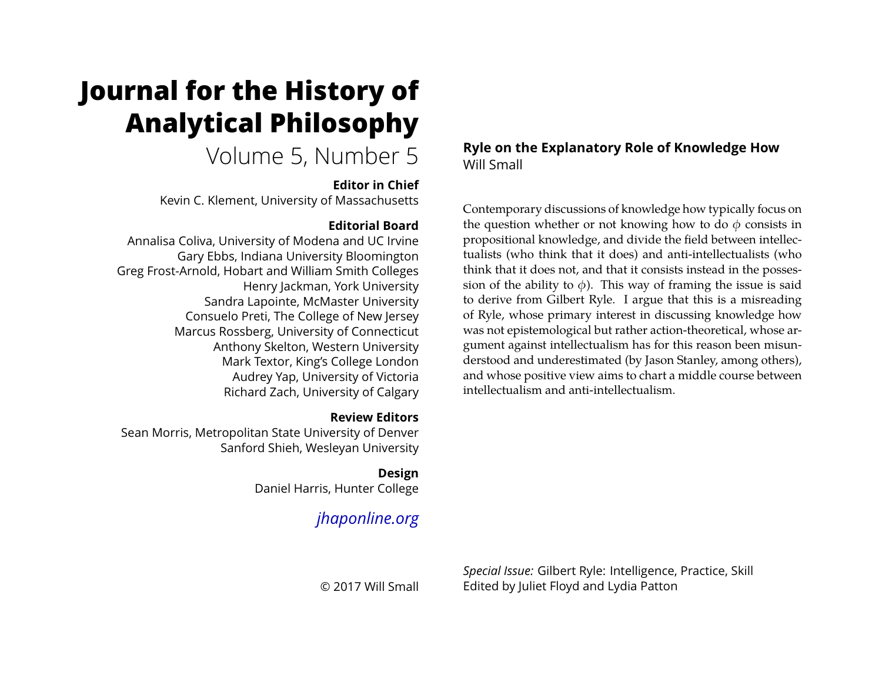# **Journal for the History of Analytical Philosophy**

# Volume 5, Number 5

#### **Editor in Chief**

Kevin C. Klement, University of Massachusetts

# **Editorial Board**

Annalisa Coliva, University of Modena and UC Irvine Gary Ebbs, Indiana University Bloomington Greg Frost-Arnold, Hobart and William Smith Colleges Henry Jackman, York University Sandra Lapointe, McMaster University Consuelo Preti, The College of New Jersey Marcus Rossberg, University of Connecticut Anthony Skelton, Western University Mark Textor, King's College London Audrey Yap, University of Victoria Richard Zach, University of Calgary

# **Review Editors**

Sean Morris, Metropolitan State University of Denver Sanford Shieh, Wesleyan University

# **Design**

Daniel Harris, Hunter College

# *[jhaponline.org](https://jhaponline.org)*

© 2017 Will Small

# **Ryle on the Explanatory Role of Knowledge How** Will Small

Contemporary discussions of knowledge how typically focus on the question whether or not knowing how to do  $\phi$  consists in propositional knowledge, and divide the field between intellectualists (who think that it does) and anti-intellectualists (who think that it does not, and that it consists instead in the possession of the ability to  $\phi$ ). This way of framing the issue is said to derive from Gilbert Ryle. I argue that this is a misreading of Ryle, whose primary interest in discussing knowledge how was not epistemological but rather action-theoretical, whose argument against intellectualism has for this reason been misunderstood and underestimated (by Jason Stanley, among others), and whose positive view aims to chart a middle course between intellectualism and anti-intellectualism.

*Special Issue:* Gilbert Ryle: Intelligence, Practice, Skill Edited by Juliet Floyd and Lydia Patton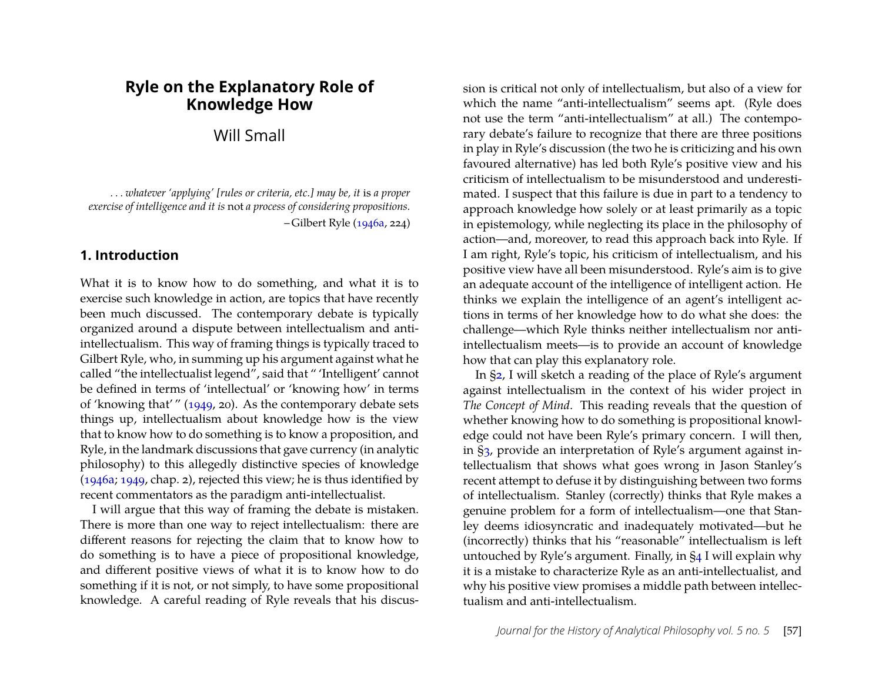# **Ryle on the Explanatory Role of Knowledge How**

Will Small

*. . . whatever 'applying' [rules or criteria, etc.] may be, it* is *a proper exercise of intelligence and it is* not *a process of considering propositions.* – Gilbert Ryle [\(1946a,](#page-20-0) 224)

### **1. Introduction**

What it is to know how to do something, and what it is to exercise such knowledge in action, are topics that have recently been much discussed. The contemporary debate is typically organized around a dispute between intellectualism and antiintellectualism. This way of framing things is typically traced to Gilbert Ryle, who, in summing up his argument against what he called "the intellectualist legend", said that " 'Intelligent' cannot be defined in terms of 'intellectual' or 'knowing how' in terms of 'knowing that' " [\(1949,](#page-20-1) 20). As the contemporary debate sets things up, intellectualism about knowledge how is the view that to know how to do something is to know a proposition, and Ryle, in the landmark discussions that gave currency (in analytic philosophy) to this allegedly distinctive species of knowledge [\(1946a;](#page-20-0) [1949,](#page-20-1) chap. 2), rejected this view; he is thus identified by recent commentators as the paradigm anti-intellectualist.

I will argue that this way of framing the debate is mistaken. There is more than one way to reject intellectualism: there are different reasons for rejecting the claim that to know how to do something is to have a piece of propositional knowledge, and different positive views of what it is to know how to do something if it is not, or not simply, to have some propositional knowledge. A careful reading of Ryle reveals that his discus-

sion is critical not only of intellectualism, but also of a view for which the name "anti-intellectualism" seems apt. (Ryle does not use the term "anti-intellectualism" at all.) The contemporary debate's failure to recognize that there are three positions in play in Ryle's discussion (the two he is criticizing and his own favoured alternative) has led both Ryle's positive view and his criticism of intellectualism to be misunderstood and underestimated. I suspect that this failure is due in part to a tendency to approach knowledge how solely or at least primarily as a topic in epistemology, while neglecting its place in the philosophy of action—and, moreover, to read this approach back into Ryle. If I am right, Ryle's topic, his criticism of intellectualism, and his positive view have all been misunderstood. Ryle's aim is to give an adequate account of the intelligence of intelligent action. He thinks we explain the intelligence of an agent's intelligent actions in terms of her knowledge how to do what she does: the challenge—which Ryle thinks neither intellectualism nor antiintellectualism meets—is to provide an account of knowledge how that can play this explanatory role.

In [§2,](#page-2-0) I will sketch a reading of the place of Ryle's argument against intellectualism in the context of his wider project in *The Concept of Mind*. This reading reveals that the question of whether knowing how to do something is propositional knowledge could not have been Ryle's primary concern. I will then, in [§3,](#page-5-0) provide an interpretation of Ryle's argument against intellectualism that shows what goes wrong in Jason Stanley's recent attempt to defuse it by distinguishing between two forms of intellectualism. Stanley (correctly) thinks that Ryle makes a genuine problem for a form of intellectualism—one that Stanley deems idiosyncratic and inadequately motivated—but he (incorrectly) thinks that his "reasonable" intellectualism is left untouched by Ryle's argument. Finally, in [§4](#page-10-0) I will explain why it is a mistake to characterize Ryle as an anti-intellectualist, and why his positive view promises a middle path between intellectualism and anti-intellectualism.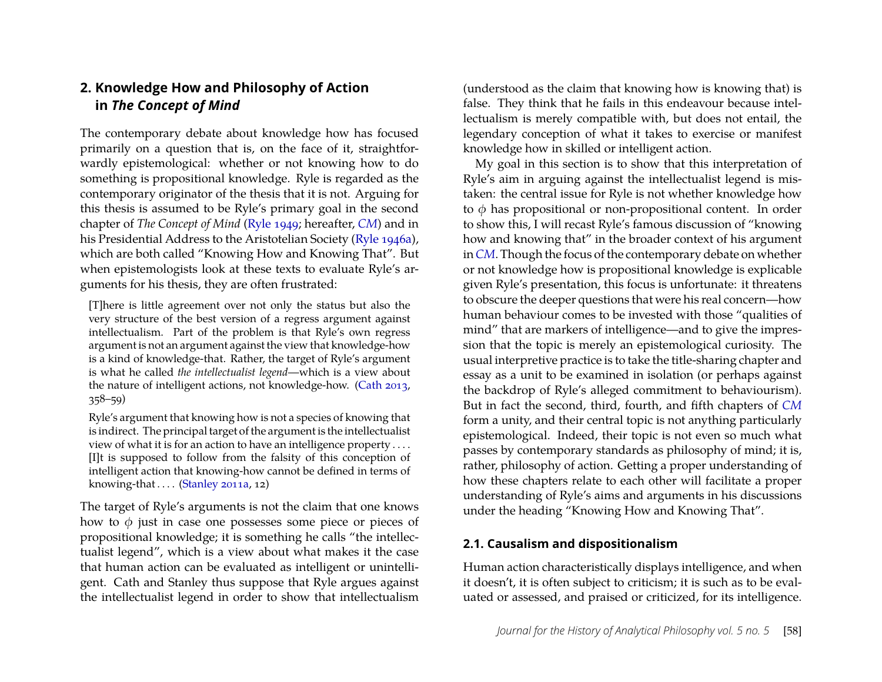# <span id="page-2-0"></span>**2. Knowledge How and Philosophy of Action in** *The Concept of Mind*

The contemporary debate about knowledge how has focused primarily on a question that is, on the face of it, straightforwardly epistemological: whether or not knowing how to do something is propositional knowledge. Ryle is regarded as the contemporary originator of the thesis that it is not. Arguing for this thesis is assumed to be Ryle's primary goal in the second chapter of *The Concept of Mind* [\(Ryle 1949;](#page-20-1) hereafter, *[CM](#page-20-1)*) and in his Presidential Address to the Aristotelian Society [\(Ryle 1946a\)](#page-20-0), which are both called "Knowing How and Knowing That". But when epistemologists look at these texts to evaluate Ryle's arguments for his thesis, they are often frustrated:

[T]here is little agreement over not only the status but also the very structure of the best version of a regress argument against intellectualism. Part of the problem is that Ryle's own regress argument is not an argument against the view that knowledge-how is a kind of knowledge-that. Rather, the target of Ryle's argument is what he called *the intellectualist legend*—which is a view about the nature of intelligent actions, not knowledge-how. [\(Cath 2013,](#page-19-0) 358–59)

Ryle's argument that knowing how is not a species of knowing that is indirect. The principal target of the argument is the intellectualist view of what it is for an action to have an intelligence property . . . . [I]t is supposed to follow from the falsity of this conception of intelligent action that knowing-how cannot be defined in terms of knowing-that  $\dots$  [\(Stanley 2011a,](#page-20-2) 12)

The target of Ryle's arguments is not the claim that one knows how to  $\phi$  just in case one possesses some piece or pieces of propositional knowledge; it is something he calls "the intellectualist legend", which is a view about what makes it the case that human action can be evaluated as intelligent or unintelligent. Cath and Stanley thus suppose that Ryle argues against the intellectualist legend in order to show that intellectualism

(understood as the claim that knowing how is knowing that) is false. They think that he fails in this endeavour because intellectualism is merely compatible with, but does not entail, the legendary conception of what it takes to exercise or manifest knowledge how in skilled or intelligent action.

My goal in this section is to show that this interpretation of Ryle's aim in arguing against the intellectualist legend is mistaken: the central issue for Ryle is not whether knowledge how to  $\phi$  has propositional or non-propositional content. In order to show this, I will recast Ryle's famous discussion of "knowing how and knowing that" in the broader context of his argument in*[CM](#page-20-1)*. Though the focus of the contemporary debate on whether or not knowledge how is propositional knowledge is explicable given Ryle's presentation, this focus is unfortunate: it threatens to obscure the deeper questions that were his real concern—how human behaviour comes to be invested with those "qualities of mind" that are markers of intelligence—and to give the impression that the topic is merely an epistemological curiosity. The usual interpretive practice is to take the title-sharing chapter and essay as a unit to be examined in isolation (or perhaps against the backdrop of Ryle's alleged commitment to behaviourism). But in fact the second, third, fourth, and fifth chapters of *[CM](#page-20-1)* form a unity, and their central topic is not anything particularly epistemological. Indeed, their topic is not even so much what passes by contemporary standards as philosophy of mind; it is, rather, philosophy of action. Getting a proper understanding of how these chapters relate to each other will facilitate a proper understanding of Ryle's aims and arguments in his discussions under the heading "Knowing How and Knowing That".

#### <span id="page-2-1"></span>**2.1. Causalism and dispositionalism**

Human action characteristically displays intelligence, and when it doesn't, it is often subject to criticism; it is such as to be evaluated or assessed, and praised or criticized, for its intelligence.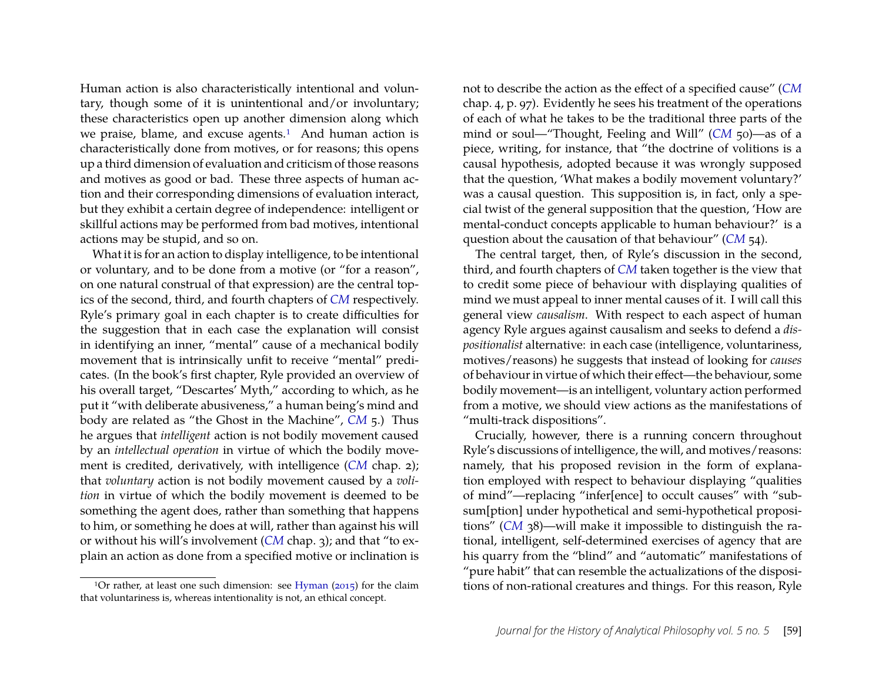Human action is also characteristically intentional and voluntary, though some of it is unintentional and/or involuntary; these characteristics open up another dimension along which we praise, blame, and excuse agents.<sup>[1](#page-3-0)</sup> And human action is characteristically done from motives, or for reasons; this opens up a third dimension of evaluation and criticism of those reasons and motives as good or bad. These three aspects of human action and their corresponding dimensions of evaluation interact, but they exhibit a certain degree of independence: intelligent or skillful actions may be performed from bad motives, intentional actions may be stupid, and so on.

What it is for an action to display intelligence, to be intentional or voluntary, and to be done from a motive (or "for a reason", on one natural construal of that expression) are the central topics of the second, third, and fourth chapters of *[CM](#page-20-1)* respectively. Ryle's primary goal in each chapter is to create difficulties for the suggestion that in each case the explanation will consist in identifying an inner, "mental" cause of a mechanical bodily movement that is intrinsically unfit to receive "mental" predicates. (In the book's first chapter, Ryle provided an overview of his overall target, "Descartes' Myth," according to which, as he put it "with deliberate abusiveness," a human being's mind and body are related as "the Ghost in the Machine", *[CM](#page-20-1)* 5.) Thus he argues that *intelligent* action is not bodily movement caused by an *intellectual operation* in virtue of which the bodily movement is credited, derivatively, with intelligence (*[CM](#page-20-1)* chap. 2); that *voluntary* action is not bodily movement caused by a *volition* in virtue of which the bodily movement is deemed to be something the agent does, rather than something that happens to him, or something he does at will, rather than against his will or without his will's involvement (*[CM](#page-20-1)* chap. 3); and that "to explain an action as done from a specified motive or inclination is

<span id="page-3-0"></span><sup>1</sup>Or rather, at least one such dimension: see [Hyman](#page-20-3) ( $2015$ ) for the claim that voluntariness is, whereas intentionality is not, an ethical concept.

not to describe the action as the effect of a specified cause" (*[CM](#page-20-1)* chap. 4, p. 97). Evidently he sees his treatment of the operations of each of what he takes to be the traditional three parts of the mind or soul—"Thought, Feeling and Will" ([CM](#page-20-1) 50)—as of a piece, writing, for instance, that "the doctrine of volitions is a causal hypothesis, adopted because it was wrongly supposed that the question, 'What makes a bodily movement voluntary?' was a causal question. This supposition is, in fact, only a special twist of the general supposition that the question, 'How are mental-conduct concepts applicable to human behaviour?' is a question about the causation of that behaviour" (*[CM](#page-20-1)* 54).

The central target, then, of Ryle's discussion in the second, third, and fourth chapters of *[CM](#page-20-1)* taken together is the view that to credit some piece of behaviour with displaying qualities of mind we must appeal to inner mental causes of it. I will call this general view *causalism*. With respect to each aspect of human agency Ryle argues against causalism and seeks to defend a *dispositionalist* alternative: in each case (intelligence, voluntariness, motives/reasons) he suggests that instead of looking for *causes* of behaviour in virtue of which their effect—the behaviour, some bodily movement—is an intelligent, voluntary action performed from a motive, we should view actions as the manifestations of "multi-track dispositions".

Crucially, however, there is a running concern throughout Ryle's discussions of intelligence, the will, and motives/reasons: namely, that his proposed revision in the form of explanation employed with respect to behaviour displaying "qualities of mind"—replacing "infer[ence] to occult causes" with "subsum[ption] under hypothetical and semi-hypothetical propositions" (*[CM](#page-20-1)* 38)—will make it impossible to distinguish the rational, intelligent, self-determined exercises of agency that are his quarry from the "blind" and "automatic" manifestations of "pure habit" that can resemble the actualizations of the dispositions of non-rational creatures and things. For this reason, Ryle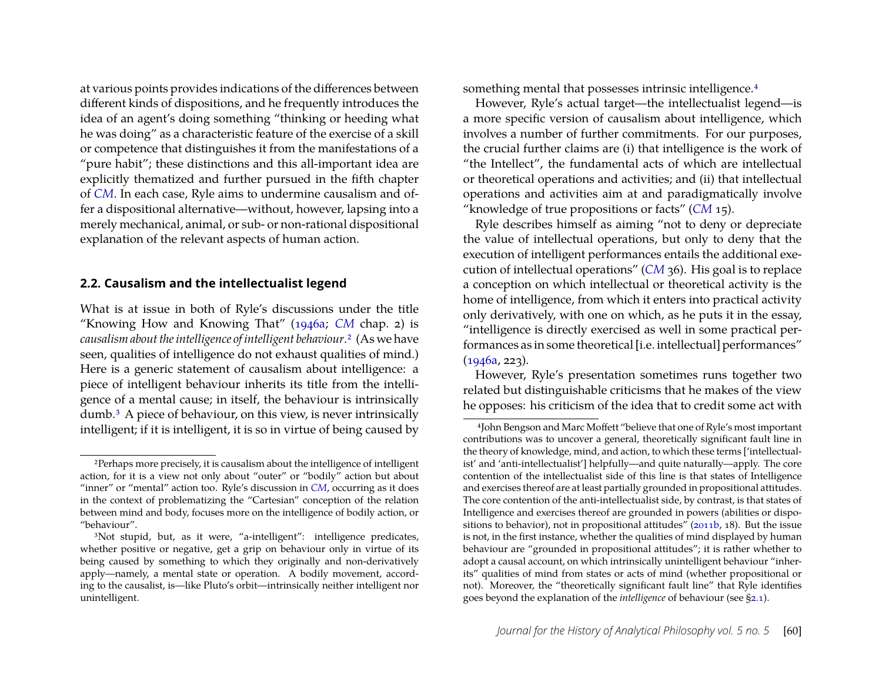at various points provides indications of the differences between different kinds of dispositions, and he frequently introduces the idea of an agent's doing something "thinking or heeding what he was doing" as a characteristic feature of the exercise of a skill or competence that distinguishes it from the manifestations of a "pure habit"; these distinctions and this all-important idea are explicitly thematized and further pursued in the fifth chapter of *[CM](#page-20-1)*. In each case, Ryle aims to undermine causalism and offer a dispositional alternative—without, however, lapsing into a merely mechanical, animal, or sub- or non-rational dispositional explanation of the relevant aspects of human action.

#### **2.2. Causalism and the intellectualist legend**

What is at issue in both of Ryle's discussions under the title "Knowing How and Knowing That" [\(1946a;](#page-20-0) *[CM](#page-20-1)* chap. 2) is *causalism about the intelligence of intelligent behaviour*.[2](#page-4-0) (As we have seen, qualities of intelligence do not exhaust qualities of mind.) Here is a generic statement of causalism about intelligence: a piece of intelligent behaviour inherits its title from the intelligence of a mental cause; in itself, the behaviour is intrinsically dumb.[3](#page-4-1) A piece of behaviour, on this view, is never intrinsically intelligent; if it is intelligent, it is so in virtue of being caused by something mental that possesses intrinsic intelligence.[4](#page-4-2)

However, Ryle's actual target—the intellectualist legend—is a more specific version of causalism about intelligence, which involves a number of further commitments. For our purposes, the crucial further claims are (i) that intelligence is the work of "the Intellect", the fundamental acts of which are intellectual or theoretical operations and activities; and (ii) that intellectual operations and activities aim at and paradigmatically involve "knowledge of true propositions or facts" (*[CM](#page-20-1)* 15).

Ryle describes himself as aiming "not to deny or depreciate the value of intellectual operations, but only to deny that the execution of intelligent performances entails the additional execution of intellectual operations" (*[CM](#page-20-1)* 36). His goal is to replace a conception on which intellectual or theoretical activity is the home of intelligence, from which it enters into practical activity only derivatively, with one on which, as he puts it in the essay, "intelligence is directly exercised as well in some practical performances as in some theoretical [i.e. intellectual] performances"  $(1946a, 223)$  $(1946a, 223)$ .

However, Ryle's presentation sometimes runs together two related but distinguishable criticisms that he makes of the view he opposes: his criticism of the idea that to credit some act with

<span id="page-4-0"></span><sup>2</sup>Perhaps more precisely, it is causalism about the intelligence of intelligent action, for it is a view not only about "outer" or "bodily" action but about "inner" or "mental" action too. Ryle's discussion in *[CM](#page-20-1)*, occurring as it does in the context of problematizing the "Cartesian" conception of the relation between mind and body, focuses more on the intelligence of bodily action, or "behaviour".

<span id="page-4-1"></span><sup>&</sup>lt;sup>3</sup>Not stupid, but, as it were, "a-intelligent": intelligence predicates, whether positive or negative, get a grip on behaviour only in virtue of its being caused by something to which they originally and non-derivatively apply—namely, a mental state or operation. A bodily movement, according to the causalist, is—like Pluto's orbit—intrinsically neither intelligent nor unintelligent.

<span id="page-4-2"></span><sup>4</sup>John Bengson and Marc Moffett "believe that one of Ryle's most important contributions was to uncover a general, theoretically significant fault line in the theory of knowledge, mind, and action, to which these terms ['intellectualist' and 'anti-intellectualist'] helpfully—and quite naturally—apply. The core contention of the intellectualist side of this line is that states of Intelligence and exercises thereof are at least partially grounded in propositional attitudes. The core contention of the anti-intellectualist side, by contrast, is that states of Intelligence and exercises thereof are grounded in powers (abilities or dispositions to behavior), not in propositional attitudes" [\(2011b,](#page-19-1) 18). But the issue is not, in the first instance, whether the qualities of mind displayed by human behaviour are "grounded in propositional attitudes"; it is rather whether to adopt a causal account, on which intrinsically unintelligent behaviour "inherits" qualities of mind from states or acts of mind (whether propositional or not). Moreover, the "theoretically significant fault line" that Ryle identifies goes beyond the explanation of the *intelligence* of behaviour (see [§2.1\)](#page-2-1).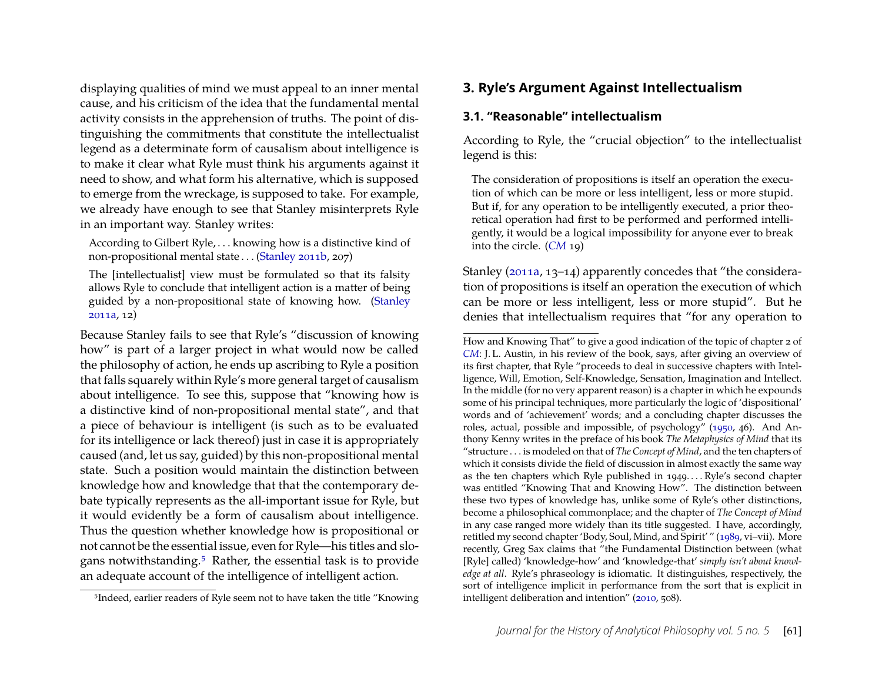displaying qualities of mind we must appeal to an inner mental cause, and his criticism of the idea that the fundamental mental activity consists in the apprehension of truths. The point of distinguishing the commitments that constitute the intellectualist legend as a determinate form of causalism about intelligence is to make it clear what Ryle must think his arguments against it need to show, and what form his alternative, which is supposed to emerge from the wreckage, is supposed to take. For example, we already have enough to see that Stanley misinterprets Ryle in an important way. Stanley writes:

According to Gilbert Ryle, . . . knowing how is a distinctive kind of non-propositional mental state . . . [\(Stanley 2011b,](#page-20-4) 207)

The [intellectualist] view must be formulated so that its falsity allows Ryle to conclude that intelligent action is a matter of being guided by a non-propositional state of knowing how. [\(Stanley](#page-20-2) [2011a,](#page-20-2) 12)

Because Stanley fails to see that Ryle's "discussion of knowing how" is part of a larger project in what would now be called the philosophy of action, he ends up ascribing to Ryle a position that falls squarely within Ryle's more general target of causalism about intelligence. To see this, suppose that "knowing how is a distinctive kind of non-propositional mental state", and that a piece of behaviour is intelligent (is such as to be evaluated for its intelligence or lack thereof) just in case it is appropriately caused (and, let us say, guided) by this non-propositional mental state. Such a position would maintain the distinction between knowledge how and knowledge that that the contemporary debate typically represents as the all-important issue for Ryle, but it would evidently be a form of causalism about intelligence. Thus the question whether knowledge how is propositional or not cannot be the essential issue, even for Ryle—his titles and slogans notwithstanding.[5](#page-5-1) Rather, the essential task is to provide an adequate account of the intelligence of intelligent action.

# <span id="page-5-0"></span>**3. Ryle's Argument Against Intellectualism**

#### **3.1. "Reasonable" intellectualism**

According to Ryle, the "crucial objection" to the intellectualist legend is this:

The consideration of propositions is itself an operation the execution of which can be more or less intelligent, less or more stupid. But if, for any operation to be intelligently executed, a prior theoretical operation had first to be performed and performed intelligently, it would be a logical impossibility for anyone ever to break into the circle. (*[CM](#page-20-1)* 19)

Stanley [\(2011a,](#page-20-2) 13–14) apparently concedes that "the consideration of propositions is itself an operation the execution of which can be more or less intelligent, less or more stupid". But he denies that intellectualism requires that "for any operation to

<span id="page-5-1"></span><sup>5</sup>Indeed, earlier readers of Ryle seem not to have taken the title "Knowing

How and Knowing That" to give a good indication of the topic of chapter 2 of *[CM](#page-20-1)*: J. L. Austin, in his review of the book, says, after giving an overview of its first chapter, that Ryle "proceeds to deal in successive chapters with Intelligence, Will, Emotion, Self-Knowledge, Sensation, Imagination and Intellect. In the middle (for no very apparent reason) is a chapter in which he expounds some of his principal techniques, more particularly the logic of 'dispositional' words and of 'achievement' words; and a concluding chapter discusses the roles, actual, possible and impossible, of psychology" [\(1950,](#page-19-2) 46). And Anthony Kenny writes in the preface of his book *The Metaphysics of Mind* that its "structure . . . is modeled on that of *The Concept of Mind*, and the ten chapters of which it consists divide the field of discussion in almost exactly the same way as the ten chapters which Ryle published in 1949. . . . Ryle's second chapter was entitled "Knowing That and Knowing How". The distinction between these two types of knowledge has, unlike some of Ryle's other distinctions, become a philosophical commonplace; and the chapter of *The Concept of Mind* in any case ranged more widely than its title suggested. I have, accordingly, retitled my second chapter 'Body, Soul, Mind, and Spirit' " [\(1989,](#page-20-5) vi–vii). More recently, Greg Sax claims that "the Fundamental Distinction between (what [Ryle] called) 'knowledge-how' and 'knowledge-that' *simply isn't about knowledge at all*. Ryle's phraseology is idiomatic. It distinguishes, respectively, the sort of intelligence implicit in performance from the sort that is explicit in intelligent deliberation and intention" [\(2010,](#page-20-6) 508).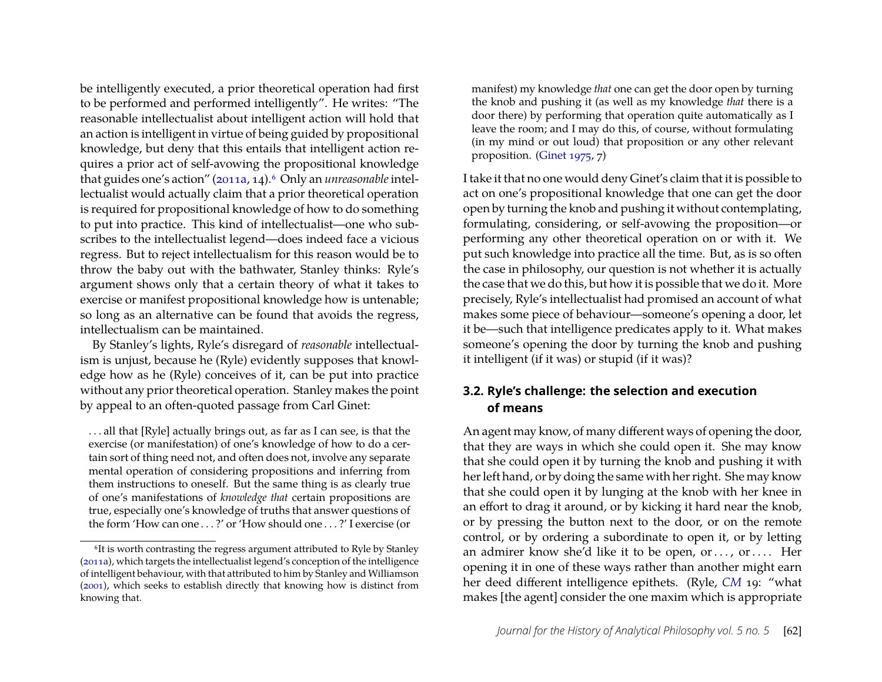be intelligently executed, a prior theoretical operation had first to be performed and performed intelligently". He writes: "The reasonable intellectualist about intelligent action will hold that an action is intelligent in virtue of being guided by propositional knowledge, but deny that this entails that intelligent action requires a prior act of self-avowing the propositional knowledge that guides one's action" [\(2011a,](#page-20-2) 14).<sup>[6](#page-6-0)</sup> Only an *unreasonable* intellectualist would actually claim that a prior theoretical operation is required for propositional knowledge of how to do something to put into practice. This kind of intellectualist—one who subscribes to the intellectualist legend—does indeed face a vicious regress. But to reject intellectualism for this reason would be to throw the baby out with the bathwater, Stanley thinks: Ryle's argument shows only that a certain theory of what it takes to exercise or manifest propositional knowledge how is untenable; so long as an alternative can be found that avoids the regress, intellectualism can be maintained.

By Stanley's lights, Ryle's disregard of *reasonable* intellectualism is unjust, because he (Ryle) evidently supposes that knowledge how as he (Ryle) conceives of it, can be put into practice without any prior theoretical operation. Stanley makes the point by appeal to an often-quoted passage from Carl Ginet:

. . . all that [Ryle] actually brings out, as far as I can see, is that the exercise (or manifestation) of one's knowledge of how to do a certain sort of thing need not, and often does not, involve any separate mental operation of considering propositions and inferring from them instructions to oneself. But the same thing is as clearly true of one's manifestations of *knowledge that* certain propositions are true, especially one's knowledge of truths that answer questions of the form 'How can one . . . ?' or 'How should one . . . ?' I exercise (or manifest) my knowledge *that* one can get the door open by turning the knob and pushing it (as well as my knowledge *that* there is a door there) by performing that operation quite automatically as I leave the room; and I may do this, of course, without formulating (in my mind or out loud) that proposition or any other relevant proposition. [\(Ginet 1975,](#page-19-3) 7)

I take it that no one would deny Ginet's claim that it is possible to act on one's propositional knowledge that one can get the door open by turning the knob and pushing it without contemplating, formulating, considering, or self-avowing the proposition—or performing any other theoretical operation on or with it. We put such knowledge into practice all the time. But, as is so often the case in philosophy, our question is not whether it is actually the case that we do this, but how it is possible that we do it. More precisely, Ryle's intellectualist had promised an account of what makes some piece of behaviour—someone's opening a door, let it be—such that intelligence predicates apply to it. What makes someone's opening the door by turning the knob and pushing it intelligent (if it was) or stupid (if it was)?

#### **3.2. Ryle's challenge: the selection and execution of means**

An agent may know, of many different ways of opening the door, that they are ways in which she could open it. She may know that she could open it by turning the knob and pushing it with her left hand, or by doing the same with her right. She may know that she could open it by lunging at the knob with her knee in an effort to drag it around, or by kicking it hard near the knob, or by pressing the button next to the door, or on the remote control, or by ordering a subordinate to open it, or by letting an admirer know she'd like it to be open, or ..., or .... Her opening it in one of these ways rather than another might earn her deed different intelligence epithets. (Ryle, *[CM](#page-20-1)* 19: "what makes [the agent] consider the one maxim which is appropriate

<span id="page-6-0"></span><sup>&</sup>lt;sup>6</sup>It is worth contrasting the regress argument attributed to Ryle by Stanley [\(2011a\)](#page-20-2), which targets the intellectualist legend's conception of the intelligence of intelligent behaviour, with that attributed to him by Stanley and Williamson [\(2001\)](#page-20-7), which seeks to establish directly that knowing how is distinct from knowing that.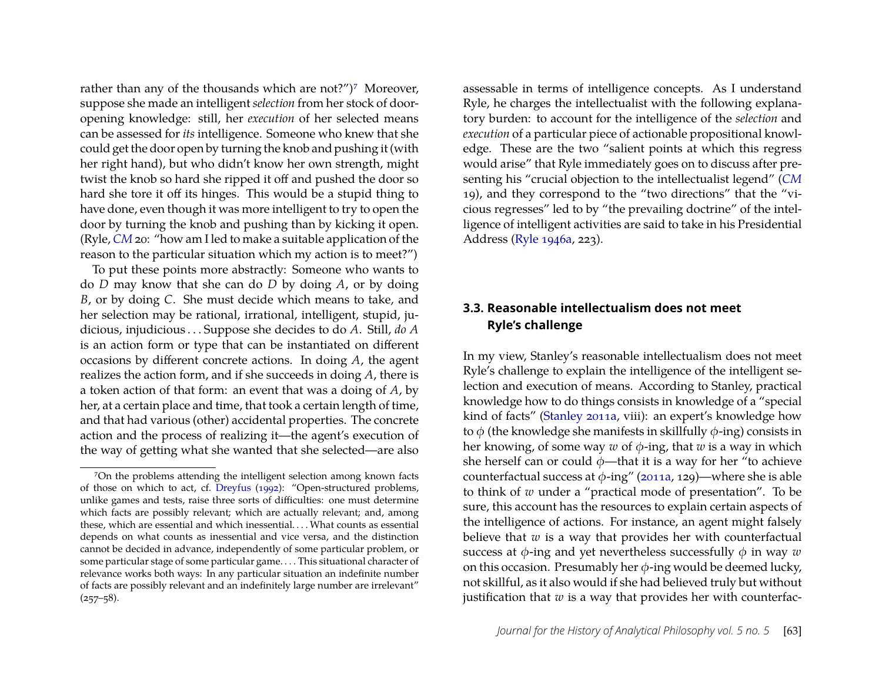rather than any of the thousands which are not?")<sup>[7](#page-7-0)</sup> Moreover, suppose she made an intelligent *selection* from her stock of dooropening knowledge: still, her *execution* of her selected means can be assessed for *its* intelligence. Someone who knew that she could get the door open by turning the knob and pushing it (with her right hand), but who didn't know her own strength, might twist the knob so hard she ripped it off and pushed the door so hard she tore it off its hinges. This would be a stupid thing to have done, even though it was more intelligent to try to open the door by turning the knob and pushing than by kicking it open. (Ryle, *[CM](#page-20-1)* 20: "how am I led to make a suitable application of the reason to the particular situation which my action is to meet?")

To put these points more abstractly: Someone who wants to do *D* may know that she can do *D* by doing *A*, or by doing *B*, or by doing *C*. She must decide which means to take, and her selection may be rational, irrational, intelligent, stupid, judicious, injudicious . . . Suppose she decides to do *A*. Still, *do A* is an action form or type that can be instantiated on different occasions by different concrete actions. In doing *A*, the agent realizes the action form, and if she succeeds in doing *A*, there is a token action of that form: an event that was a doing of *A*, by her, at a certain place and time, that took a certain length of time, and that had various (other) accidental properties. The concrete action and the process of realizing it—the agent's execution of the way of getting what she wanted that she selected—are also assessable in terms of intelligence concepts. As I understand Ryle, he charges the intellectualist with the following explanatory burden: to account for the intelligence of the *selection* and *execution* of a particular piece of actionable propositional knowledge. These are the two "salient points at which this regress would arise" that Ryle immediately goes on to discuss after presenting his "crucial objection to the intellectualist legend" (*[CM](#page-20-1)* 19), and they correspond to the "two directions" that the "vicious regresses" led to by "the prevailing doctrine" of the intelligence of intelligent activities are said to take in his Presidential Address [\(Ryle 1946a,](#page-20-0) 223).

## **3.3. Reasonable intellectualism does not meet Ryle's challenge**

In my view, Stanley's reasonable intellectualism does not meet Ryle's challenge to explain the intelligence of the intelligent selection and execution of means. According to Stanley, practical knowledge how to do things consists in knowledge of a "special kind of facts" [\(Stanley 2011a,](#page-20-2) viii): an expert's knowledge how to  $\phi$  (the knowledge she manifests in skillfully  $\phi$ -ing) consists in her knowing, of some way  $w$  of  $\phi$ -ing, that  $w$  is a way in which she herself can or could  $\phi$ —that it is a way for her "to achieve counterfactual success at  $\phi$ -ing" [\(2011a,](#page-20-2) 129)—where she is able to think of *w* under a "practical mode of presentation". To be sure, this account has the resources to explain certain aspects of the intelligence of actions. For instance, an agent might falsely believe that *w* is a way that provides her with counterfactual success at  $\phi$ -ing and yet nevertheless successfully  $\phi$  in way  $w$ on this occasion. Presumably her  $\phi$ -ing would be deemed lucky, not skillful, as it also would if she had believed truly but without justification that *w* is a way that provides her with counterfac-

<span id="page-7-0"></span><sup>7</sup>On the problems attending the intelligent selection among known facts of those on which to act, cf. [Dreyfus](#page-19-4) [\(1992\)](#page-19-4): "Open-structured problems, unlike games and tests, raise three sorts of difficulties: one must determine which facts are possibly relevant; which are actually relevant; and, among these, which are essential and which inessential. . . . What counts as essential depends on what counts as inessential and vice versa, and the distinction cannot be decided in advance, independently of some particular problem, or some particular stage of some particular game. . . . This situational character of relevance works both ways: In any particular situation an indefinite number of facts are possibly relevant and an indefinitely large number are irrelevant"  $(257 - 58)$ .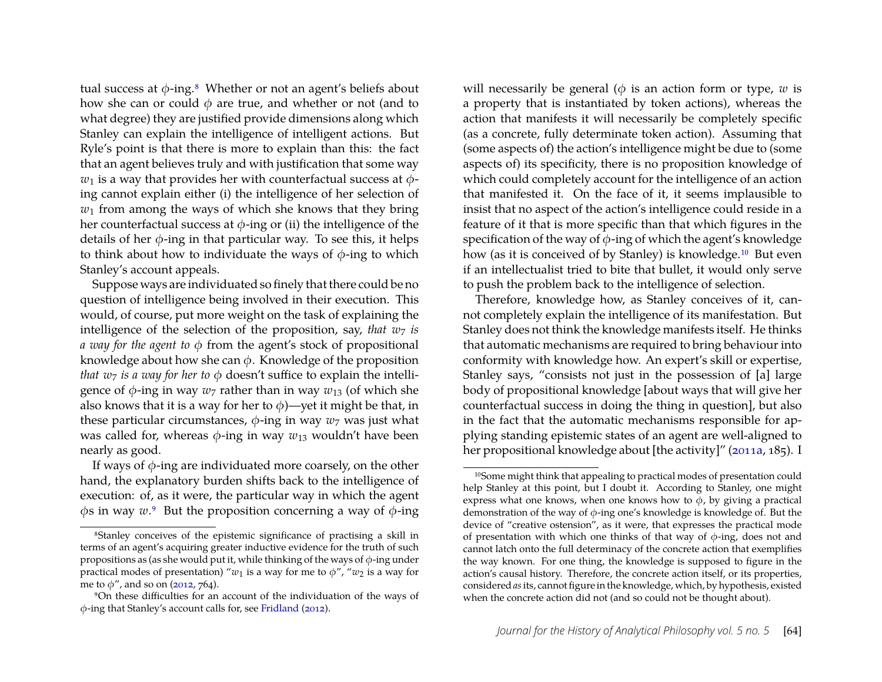tual success at  $\phi$ -ing.<sup>[8](#page-8-0)</sup> Whether or not an agent's beliefs about how she can or could  $\phi$  are true, and whether or not (and to what degree) they are justified provide dimensions along which Stanley can explain the intelligence of intelligent actions. But Ryle's point is that there is more to explain than this: the fact that an agent believes truly and with justification that some way  $w_1$  is a way that provides her with counterfactual success at  $\phi$ ing cannot explain either (i) the intelligence of her selection of *w*<sup>1</sup> from among the ways of which she knows that they bring her counterfactual success at  $\phi$ -ing or (ii) the intelligence of the details of her  $\phi$ -ing in that particular way. To see this, it helps to think about how to individuate the ways of  $\phi$ -ing to which Stanley's account appeals.

Suppose ways are individuated so finely that there could be no question of intelligence being involved in their execution. This would, of course, put more weight on the task of explaining the intelligence of the selection of the proposition, say, *that*  $w_7$  *is a way for the agent to* φ from the agent's stock of propositional knowledge about how she can  $\phi$ . Knowledge of the proposition *that*  $w_7$  *is a way for her to*  $\phi$  doesn't suffice to explain the intelligence of  $\phi$ -ing in way  $w_7$  rather than in way  $w_{13}$  (of which she also knows that it is a way for her to  $\phi$ )—yet it might be that, in these particular circumstances,  $\phi$ -ing in way  $w_7$  was just what was called for, whereas  $\phi$ -ing in way  $w_{13}$  wouldn't have been nearly as good.

If ways of  $\phi$ -ing are individuated more coarsely, on the other hand, the explanatory burden shifts back to the intelligence of execution: of, as it were, the particular way in which the agent  $\phi$ s in way  $w$ <sup>[9](#page-8-1)</sup>. But the proposition concerning a way of  $\phi$ -ing

will necessarily be general ( $\phi$  is an action form or type,  $w$  is a property that is instantiated by token actions), whereas the action that manifests it will necessarily be completely specific (as a concrete, fully determinate token action). Assuming that (some aspects of) the action's intelligence might be due to (some aspects of) its specificity, there is no proposition knowledge of which could completely account for the intelligence of an action that manifested it. On the face of it, it seems implausible to insist that no aspect of the action's intelligence could reside in a feature of it that is more specific than that which figures in the specification of the way of  $\phi$ -ing of which the agent's knowledge how (as it is conceived of by Stanley) is knowledge.<sup>[10](#page-8-2)</sup> But even if an intellectualist tried to bite that bullet, it would only serve to push the problem back to the intelligence of selection.

Therefore, knowledge how, as Stanley conceives of it, cannot completely explain the intelligence of its manifestation. But Stanley does not think the knowledge manifests itself. He thinks that automatic mechanisms are required to bring behaviour into conformity with knowledge how. An expert's skill or expertise, Stanley says, "consists not just in the possession of [a] large body of propositional knowledge [about ways that will give her counterfactual success in doing the thing in question], but also in the fact that the automatic mechanisms responsible for applying standing epistemic states of an agent are well-aligned to her propositional knowledge about [the activity]" [\(2011a,](#page-20-2) 185). I

<span id="page-8-0"></span><sup>8</sup>Stanley conceives of the epistemic significance of practising a skill in terms of an agent's acquiring greater inductive evidence for the truth of such propositions as (as she would put it, while thinking of the ways of  $\phi$ -ing under practical modes of presentation) " $w_1$  is a way for me to  $\phi$ ", " $w_2$  is a way for me to  $\phi$ ", and so on [\(2012,](#page-20-8) 764).

<span id="page-8-1"></span><sup>9</sup>On these difficulties for an account of the individuation of the ways of φ-ing that Stanley's account calls for, see [Fridland](#page-19-5) [\(2012\)](#page-19-5).

<span id="page-8-2"></span><sup>10</sup>Some might think that appealing to practical modes of presentation could help Stanley at this point, but I doubt it. According to Stanley, one might express what one knows, when one knows how to  $\phi$ , by giving a practical demonstration of the way of  $\phi$ -ing one's knowledge is knowledge of. But the device of "creative ostension", as it were, that expresses the practical mode of presentation with which one thinks of that way of  $\phi$ -ing, does not and cannot latch onto the full determinacy of the concrete action that exemplifies the way known. For one thing, the knowledge is supposed to figure in the action's causal history. Therefore, the concrete action itself, or its properties, considered*as*its, cannot figure in the knowledge, which, by hypothesis, existed when the concrete action did not (and so could not be thought about).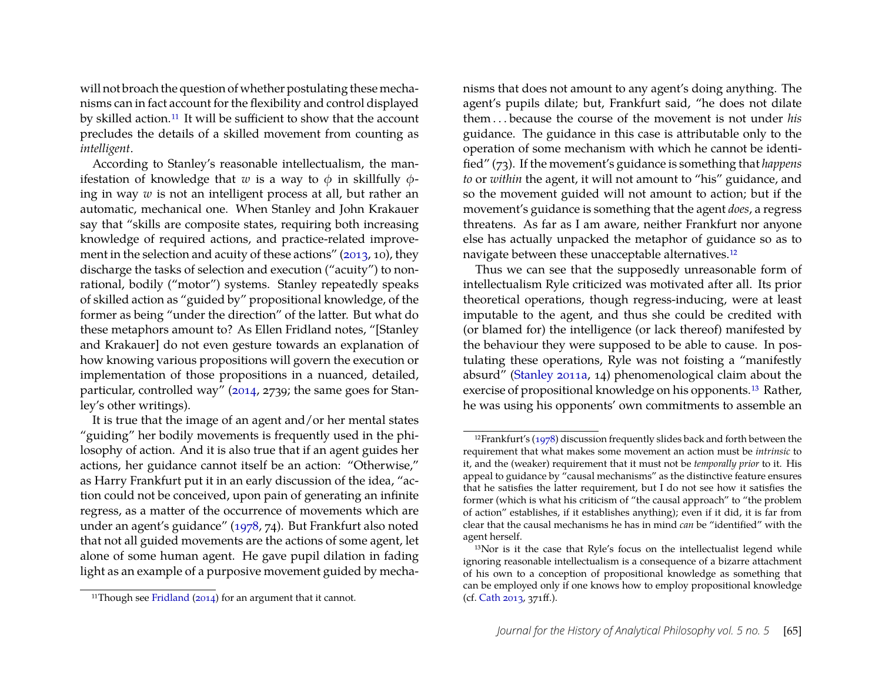will not broach the question of whether postulating these mechanisms can in fact account for the flexibility and control displayed by skilled action.<sup>[11](#page-9-0)</sup> It will be sufficient to show that the account precludes the details of a skilled movement from counting as *intelligent*.

According to Stanley's reasonable intellectualism, the manifestation of knowledge that *w* is a way to  $\phi$  in skillfully  $\phi$ ing in way *w* is not an intelligent process at all, but rather an automatic, mechanical one. When Stanley and John Krakauer say that "skills are composite states, requiring both increasing knowledge of required actions, and practice-related improvement in the selection and acuity of these actions" [\(2013,](#page-20-9) 10), they discharge the tasks of selection and execution ("acuity") to nonrational, bodily ("motor") systems. Stanley repeatedly speaks of skilled action as "guided by" propositional knowledge, of the former as being "under the direction" of the latter. But what do these metaphors amount to? As Ellen Fridland notes, "[Stanley and Krakauer] do not even gesture towards an explanation of how knowing various propositions will govern the execution or implementation of those propositions in a nuanced, detailed, particular, controlled way" [\(2014,](#page-19-6) 2739; the same goes for Stanley's other writings).

It is true that the image of an agent and/or her mental states "guiding" her bodily movements is frequently used in the philosophy of action. And it is also true that if an agent guides her actions, her guidance cannot itself be an action: "Otherwise," as Harry Frankfurt put it in an early discussion of the idea, "action could not be conceived, upon pain of generating an infinite regress, as a matter of the occurrence of movements which are under an agent's guidance" [\(1978,](#page-19-7) 74). But Frankfurt also noted that not all guided movements are the actions of some agent, let alone of some human agent. He gave pupil dilation in fading light as an example of a purposive movement guided by mechanisms that does not amount to any agent's doing anything. The agent's pupils dilate; but, Frankfurt said, "he does not dilate them . . . because the course of the movement is not under *his* guidance. The guidance in this case is attributable only to the operation of some mechanism with which he cannot be identified" (73). If the movement's guidance is something that *happens to* or *within* the agent, it will not amount to "his" guidance, and so the movement guided will not amount to action; but if the movement's guidance is something that the agent *does*, a regress threatens. As far as I am aware, neither Frankfurt nor anyone else has actually unpacked the metaphor of guidance so as to navigate between these unacceptable alternatives.[12](#page-9-1)

Thus we can see that the supposedly unreasonable form of intellectualism Ryle criticized was motivated after all. Its prior theoretical operations, though regress-inducing, were at least imputable to the agent, and thus she could be credited with (or blamed for) the intelligence (or lack thereof) manifested by the behaviour they were supposed to be able to cause. In postulating these operations, Ryle was not foisting a "manifestly absurd" [\(Stanley 2011a,](#page-20-2) 14) phenomenological claim about the exercise of propositional knowledge on his opponents.[13](#page-9-2) Rather, he was using his opponents' own commitments to assemble an

<span id="page-9-0"></span><sup>&</sup>lt;sup>11</sup>Though see [Fridland](#page-19-6) [\(2014\)](#page-19-6) for an argument that it cannot.

<span id="page-9-1"></span><sup>&</sup>lt;sup>12</sup>Frankfurt's [\(1978\)](#page-19-7) discussion frequently slides back and forth between the requirement that what makes some movement an action must be *intrinsic* to it, and the (weaker) requirement that it must not be *temporally prior* to it. His appeal to guidance by "causal mechanisms" as the distinctive feature ensures that he satisfies the latter requirement, but I do not see how it satisfies the former (which is what his criticism of "the causal approach" to "the problem of action" establishes, if it establishes anything); even if it did, it is far from clear that the causal mechanisms he has in mind *can* be "identified" with the agent herself.

<span id="page-9-2"></span><sup>13</sup>Nor is it the case that Ryle's focus on the intellectualist legend while ignoring reasonable intellectualism is a consequence of a bizarre attachment of his own to a conception of propositional knowledge as something that can be employed only if one knows how to employ propositional knowledge (cf. [Cath 2013,](#page-19-0) 371ff.).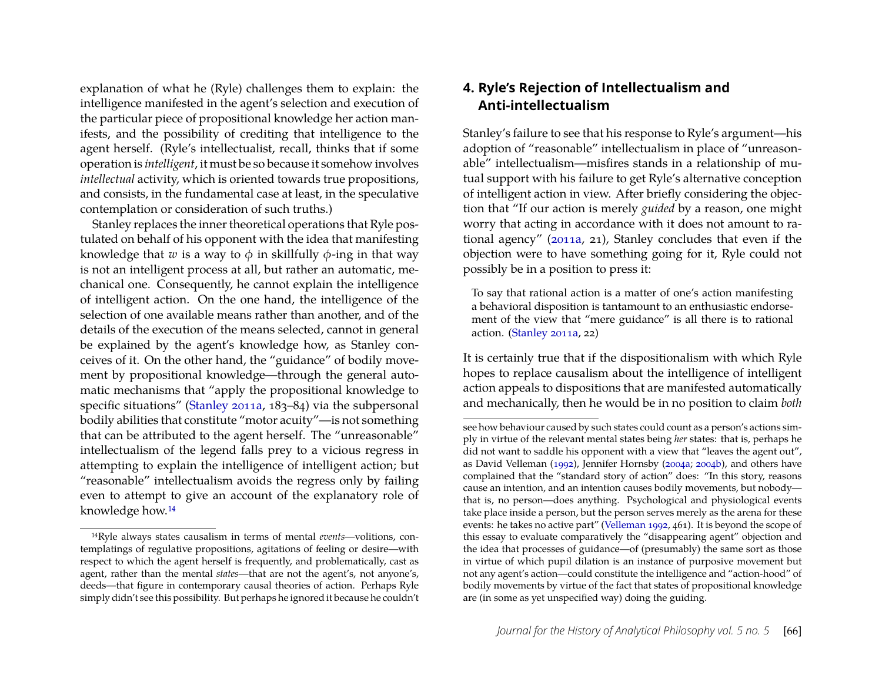explanation of what he (Ryle) challenges them to explain: the intelligence manifested in the agent's selection and execution of the particular piece of propositional knowledge her action manifests, and the possibility of crediting that intelligence to the agent herself. (Ryle's intellectualist, recall, thinks that if some operation is *intelligent*, it must be so because it somehow involves *intellectual* activity, which is oriented towards true propositions, and consists, in the fundamental case at least, in the speculative contemplation or consideration of such truths.)

Stanley replaces the inner theoretical operations that Ryle postulated on behalf of his opponent with the idea that manifesting knowledge that *w* is a way to  $\phi$  in skillfully  $\phi$ -ing in that way is not an intelligent process at all, but rather an automatic, mechanical one. Consequently, he cannot explain the intelligence of intelligent action. On the one hand, the intelligence of the selection of one available means rather than another, and of the details of the execution of the means selected, cannot in general be explained by the agent's knowledge how, as Stanley conceives of it. On the other hand, the "guidance" of bodily movement by propositional knowledge—through the general automatic mechanisms that "apply the propositional knowledge to specific situations" [\(Stanley 2011a,](#page-20-2) 183–84) via the subpersonal bodily abilities that constitute "motor acuity"—is not something that can be attributed to the agent herself. The "unreasonable" intellectualism of the legend falls prey to a vicious regress in attempting to explain the intelligence of intelligent action; but "reasonable" intellectualism avoids the regress only by failing even to attempt to give an account of the explanatory role of knowledge how.[14](#page-10-1)

# <span id="page-10-0"></span>**4. Ryle's Rejection of Intellectualism and Anti-intellectualism**

Stanley's failure to see that his response to Ryle's argument—his adoption of "reasonable" intellectualism in place of "unreasonable" intellectualism—misfires stands in a relationship of mutual support with his failure to get Ryle's alternative conception of intelligent action in view. After briefly considering the objection that "If our action is merely *guided* by a reason, one might worry that acting in accordance with it does not amount to rational agency" [\(2011a,](#page-20-2) 21), Stanley concludes that even if the objection were to have something going for it, Ryle could not possibly be in a position to press it:

To say that rational action is a matter of one's action manifesting a behavioral disposition is tantamount to an enthusiastic endorsement of the view that "mere guidance" is all there is to rational action. [\(Stanley 2011a,](#page-20-2) 22)

It is certainly true that if the dispositionalism with which Ryle hopes to replace causalism about the intelligence of intelligent action appeals to dispositions that are manifested automatically and mechanically, then he would be in no position to claim *both*

<span id="page-10-1"></span><sup>14</sup>Ryle always states causalism in terms of mental *events*—volitions, contemplatings of regulative propositions, agitations of feeling or desire—with respect to which the agent herself is frequently, and problematically, cast as agent, rather than the mental *states*—that are not the agent's, not anyone's, deeds—that figure in contemporary causal theories of action. Perhaps Ryle simply didn't see this possibility. But perhaps he ignored it because he couldn't

see how behaviour caused by such states could count as a person's actions simply in virtue of the relevant mental states being *her* states: that is, perhaps he did not want to saddle his opponent with a view that "leaves the agent out", as David Velleman [\(1992\)](#page-20-10), Jennifer Hornsby [\(2004a;](#page-19-8) [2004b\)](#page-19-9), and others have complained that the "standard story of action" does: "In this story, reasons cause an intention, and an intention causes bodily movements, but nobody that is, no person—does anything. Psychological and physiological events take place inside a person, but the person serves merely as the arena for these events: he takes no active part" [\(Velleman 1992,](#page-20-10) 461). It is beyond the scope of this essay to evaluate comparatively the "disappearing agent" objection and the idea that processes of guidance—of (presumably) the same sort as those in virtue of which pupil dilation is an instance of purposive movement but not any agent's action—could constitute the intelligence and "action-hood" of bodily movements by virtue of the fact that states of propositional knowledge are (in some as yet unspecified way) doing the guiding.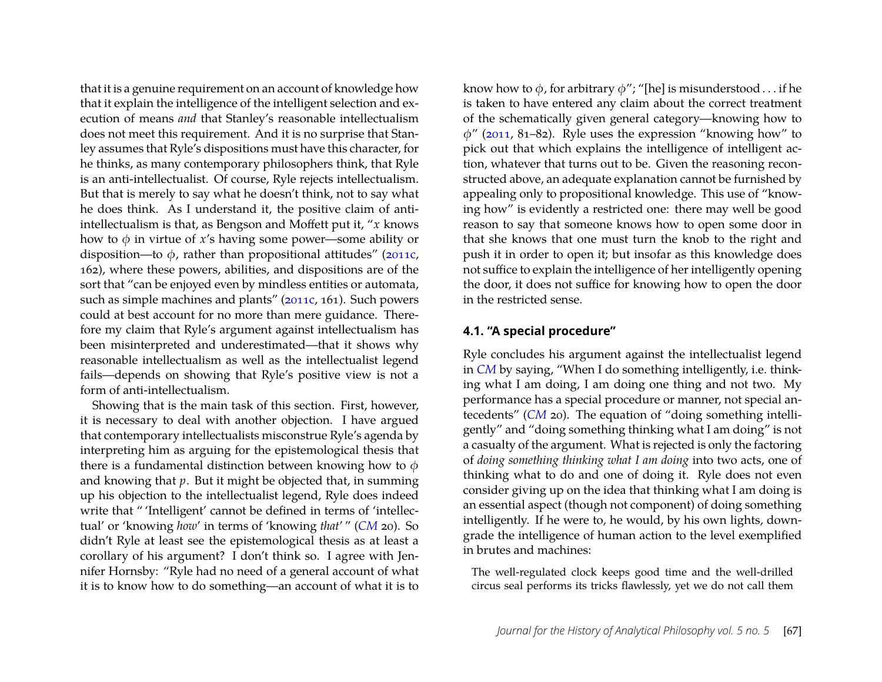that it is a genuine requirement on an account of knowledge how that it explain the intelligence of the intelligent selection and execution of means *and* that Stanley's reasonable intellectualism does not meet this requirement. And it is no surprise that Stanley assumes that Ryle's dispositions must have this character, for he thinks, as many contemporary philosophers think, that Ryle is an anti-intellectualist. Of course, Ryle rejects intellectualism. But that is merely to say what he doesn't think, not to say what he does think. As I understand it, the positive claim of antiintellectualism is that, as Bengson and Moffett put it, "*x* knows how to  $\phi$  in virtue of *x*'s having some power—some ability or disposition—to  $\phi$ , rather than propositional attitudes" [\(2011c,](#page-19-10) 162), where these powers, abilities, and dispositions are of the sort that "can be enjoyed even by mindless entities or automata, such as simple machines and plants" [\(2011c,](#page-19-10) 161). Such powers could at best account for no more than mere guidance. Therefore my claim that Ryle's argument against intellectualism has been misinterpreted and underestimated—that it shows why reasonable intellectualism as well as the intellectualist legend fails—depends on showing that Ryle's positive view is not a form of anti-intellectualism.

Showing that is the main task of this section. First, however, it is necessary to deal with another objection. I have argued that contemporary intellectualists misconstrue Ryle's agenda by interpreting him as arguing for the epistemological thesis that there is a fundamental distinction between knowing how to  $\phi$ and knowing that *p*. But it might be objected that, in summing up his objection to the intellectualist legend, Ryle does indeed write that " 'Intelligent' cannot be defined in terms of 'intellectual' or 'knowing *how*' in terms of 'knowing *that*' " (*[CM](#page-20-1)* 20). So didn't Ryle at least see the epistemological thesis as at least a corollary of his argument? I don't think so. I agree with Jennifer Hornsby: "Ryle had no need of a general account of what it is to know how to do something—an account of what it is to

know how to  $\phi$ , for arbitrary  $\phi$ "; "[he] is misunderstood . . . if he is taken to have entered any claim about the correct treatment of the schematically given general category—knowing how to  $\phi$ " [\(2011,](#page-20-11) 81–82). Ryle uses the expression "knowing how" to pick out that which explains the intelligence of intelligent action, whatever that turns out to be. Given the reasoning reconstructed above, an adequate explanation cannot be furnished by appealing only to propositional knowledge. This use of "knowing how" is evidently a restricted one: there may well be good reason to say that someone knows how to open some door in that she knows that one must turn the knob to the right and push it in order to open it; but insofar as this knowledge does not suffice to explain the intelligence of her intelligently opening the door, it does not suffice for knowing how to open the door in the restricted sense.

#### **4.1. "A special procedure"**

Ryle concludes his argument against the intellectualist legend in *[CM](#page-20-1)* by saying, "When I do something intelligently, i.e. thinking what I am doing, I am doing one thing and not two. My performance has a special procedure or manner, not special antecedents" (*[CM](#page-20-1)* 20). The equation of "doing something intelligently" and "doing something thinking what I am doing" is not a casualty of the argument. What is rejected is only the factoring of *doing something thinking what I am doing* into two acts, one of thinking what to do and one of doing it. Ryle does not even consider giving up on the idea that thinking what I am doing is an essential aspect (though not component) of doing something intelligently. If he were to, he would, by his own lights, downgrade the intelligence of human action to the level exemplified in brutes and machines:

The well-regulated clock keeps good time and the well-drilled circus seal performs its tricks flawlessly, yet we do not call them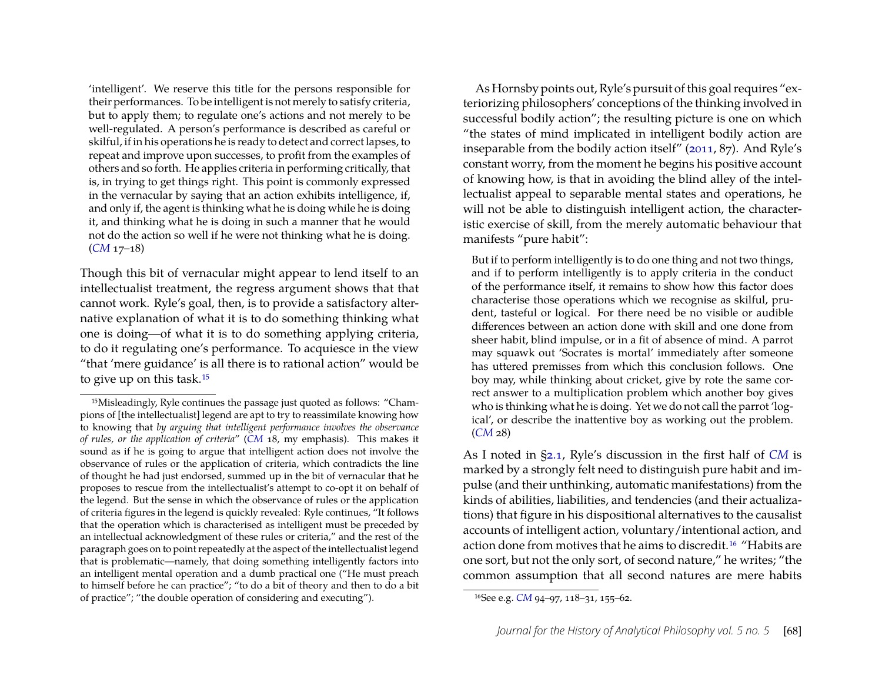'intelligent'. We reserve this title for the persons responsible for their performances. To be intelligent is not merely to satisfy criteria, but to apply them; to regulate one's actions and not merely to be well-regulated. A person's performance is described as careful or skilful, if in his operations he is ready to detect and correct lapses, to repeat and improve upon successes, to profit from the examples of others and so forth. He applies criteria in performing critically, that is, in trying to get things right. This point is commonly expressed in the vernacular by saying that an action exhibits intelligence, if, and only if, the agent is thinking what he is doing while he is doing it, and thinking what he is doing in such a manner that he would not do the action so well if he were not thinking what he is doing. (*[CM](#page-20-1)* 17–18)

Though this bit of vernacular might appear to lend itself to an intellectualist treatment, the regress argument shows that that cannot work. Ryle's goal, then, is to provide a satisfactory alternative explanation of what it is to do something thinking what one is doing—of what it is to do something applying criteria, to do it regulating one's performance. To acquiesce in the view "that 'mere guidance' is all there is to rational action" would be to give up on this task.[15](#page-12-0)

As Hornsby points out, Ryle's pursuit of this goal requires "exteriorizing philosophers' conceptions of the thinking involved in successful bodily action"; the resulting picture is one on which "the states of mind implicated in intelligent bodily action are inseparable from the bodily action itself" [\(2011,](#page-20-11) 87). And Ryle's constant worry, from the moment he begins his positive account of knowing how, is that in avoiding the blind alley of the intellectualist appeal to separable mental states and operations, he will not be able to distinguish intelligent action, the characteristic exercise of skill, from the merely automatic behaviour that manifests "pure habit":

But if to perform intelligently is to do one thing and not two things, and if to perform intelligently is to apply criteria in the conduct of the performance itself, it remains to show how this factor does characterise those operations which we recognise as skilful, prudent, tasteful or logical. For there need be no visible or audible differences between an action done with skill and one done from sheer habit, blind impulse, or in a fit of absence of mind. A parrot may squawk out 'Socrates is mortal' immediately after someone has uttered premisses from which this conclusion follows. One boy may, while thinking about cricket, give by rote the same correct answer to a multiplication problem which another boy gives who is thinking what he is doing. Yet we do not call the parrot 'logical', or describe the inattentive boy as working out the problem. (*[CM](#page-20-1)* 28)

As I noted in [§2.1,](#page-2-1) Ryle's discussion in the first half of *[CM](#page-20-1)* is marked by a strongly felt need to distinguish pure habit and impulse (and their unthinking, automatic manifestations) from the kinds of abilities, liabilities, and tendencies (and their actualizations) that figure in his dispositional alternatives to the causalist accounts of intelligent action, voluntary/intentional action, and action done from motives that he aims to discredit.[16](#page-12-1) "Habits are one sort, but not the only sort, of second nature," he writes; "the common assumption that all second natures are mere habits

<span id="page-12-0"></span><sup>15</sup>Misleadingly, Ryle continues the passage just quoted as follows: "Champions of [the intellectualist] legend are apt to try to reassimilate knowing how to knowing that *by arguing that intelligent performance involves the observance of rules, or the application of criteria*" (*[CM](#page-20-1)* 18, my emphasis). This makes it sound as if he is going to argue that intelligent action does not involve the observance of rules or the application of criteria, which contradicts the line of thought he had just endorsed, summed up in the bit of vernacular that he proposes to rescue from the intellectualist's attempt to co-opt it on behalf of the legend. But the sense in which the observance of rules or the application of criteria figures in the legend is quickly revealed: Ryle continues, "It follows that the operation which is characterised as intelligent must be preceded by an intellectual acknowledgment of these rules or criteria," and the rest of the paragraph goes on to point repeatedly at the aspect of the intellectualist legend that is problematic—namely, that doing something intelligently factors into an intelligent mental operation and a dumb practical one ("He must preach to himself before he can practice"; "to do a bit of theory and then to do a bit of practice"; "the double operation of considering and executing").

<span id="page-12-1"></span><sup>16</sup>See e.g. *[CM](#page-20-1)* 94–97, 118–31, 155–62.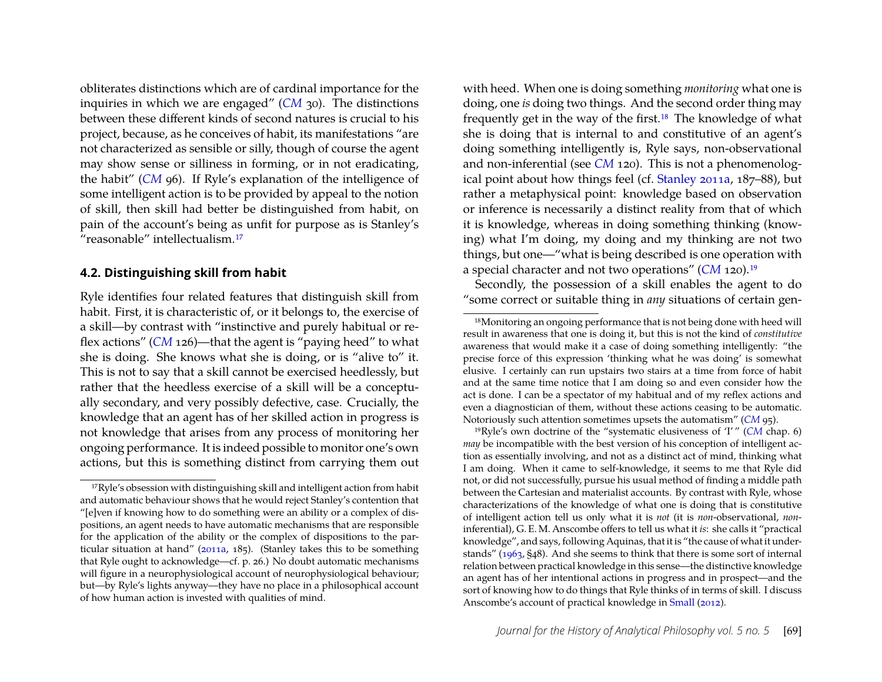obliterates distinctions which are of cardinal importance for the inquiries in which we are engaged" (*[CM](#page-20-1)* 30). The distinctions between these different kinds of second natures is crucial to his project, because, as he conceives of habit, its manifestations "are not characterized as sensible or silly, though of course the agent may show sense or silliness in forming, or in not eradicating, the habit" (*[CM](#page-20-1)* 96). If Ryle's explanation of the intelligence of some intelligent action is to be provided by appeal to the notion of skill, then skill had better be distinguished from habit, on pain of the account's being as unfit for purpose as is Stanley's "reasonable" intellectualism.[17](#page-13-0)

#### **4.2. Distinguishing skill from habit**

Ryle identifies four related features that distinguish skill from habit. First, it is characteristic of, or it belongs to, the exercise of a skill—by contrast with "instinctive and purely habitual or reflex actions" (*[CM](#page-20-1)* 126)—that the agent is "paying heed" to what she is doing. She knows what she is doing, or is "alive to" it. This is not to say that a skill cannot be exercised heedlessly, but rather that the heedless exercise of a skill will be a conceptually secondary, and very possibly defective, case. Crucially, the knowledge that an agent has of her skilled action in progress is not knowledge that arises from any process of monitoring her ongoing performance. It is indeed possible to monitor one's own actions, but this is something distinct from carrying them out with heed. When one is doing something *monitoring* what one is doing, one *is* doing two things. And the second order thing may frequently get in the way of the first.<sup>[18](#page-13-1)</sup> The knowledge of what she is doing that is internal to and constitutive of an agent's doing something intelligently is, Ryle says, non-observational and non-inferential (see *[CM](#page-20-1)* 120). This is not a phenomenological point about how things feel (cf. [Stanley 2011a,](#page-20-2) 187–88), but rather a metaphysical point: knowledge based on observation or inference is necessarily a distinct reality from that of which it is knowledge, whereas in doing something thinking (knowing) what I'm doing, my doing and my thinking are not two things, but one—"what is being described is one operation with a special character and not two operations" (*[CM](#page-20-1)* 120).[19](#page-13-2)

Secondly, the possession of a skill enables the agent to do "some correct or suitable thing in *any* situations of certain gen-

<span id="page-13-0"></span><sup>&</sup>lt;sup>17</sup>Ryle's obsession with distinguishing skill and intelligent action from habit and automatic behaviour shows that he would reject Stanley's contention that "[e]ven if knowing how to do something were an ability or a complex of dispositions, an agent needs to have automatic mechanisms that are responsible for the application of the ability or the complex of dispositions to the particular situation at hand" [\(2011a,](#page-20-2) 185). (Stanley takes this to be something that Ryle ought to acknowledge—cf. p. 26.) No doubt automatic mechanisms will figure in a neurophysiological account of neurophysiological behaviour; but—by Ryle's lights anyway—they have no place in a philosophical account of how human action is invested with qualities of mind.

<span id="page-13-1"></span><sup>18</sup>Monitoring an ongoing performance that is not being done with heed will result in awareness that one is doing it, but this is not the kind of *constitutive* awareness that would make it a case of doing something intelligently: "the precise force of this expression 'thinking what he was doing' is somewhat elusive. I certainly can run upstairs two stairs at a time from force of habit and at the same time notice that I am doing so and even consider how the act is done. I can be a spectator of my habitual and of my reflex actions and even a diagnostician of them, without these actions ceasing to be automatic. Notoriously such attention sometimes upsets the automatism" (*[CM](#page-20-1)* 95).

<span id="page-13-2"></span><sup>19</sup>Ryle's own doctrine of the "systematic elusiveness of 'I' " (*[CM](#page-20-1)* chap. 6) *may* be incompatible with the best version of his conception of intelligent action as essentially involving, and not as a distinct act of mind, thinking what I am doing. When it came to self-knowledge, it seems to me that Ryle did not, or did not successfully, pursue his usual method of finding a middle path between the Cartesian and materialist accounts. By contrast with Ryle, whose characterizations of the knowledge of what one is doing that is constitutive of intelligent action tell us only what it is *not* (it is *non*-observational, *non*inferential), G. E. M. Anscombe offers to tell us what it *is*: she calls it "practical knowledge", and says, following Aquinas, that it is "the cause of what it understands" [\(1963,](#page-19-11) §48). And she seems to think that there is some sort of internal relation between practical knowledge in this sense—the distinctive knowledge an agent has of her intentional actions in progress and in prospect—and the sort of knowing how to do things that Ryle thinks of in terms of skill. I discuss Anscombe's account of practical knowledge in [Small](#page-20-12) [\(2012\)](#page-20-12).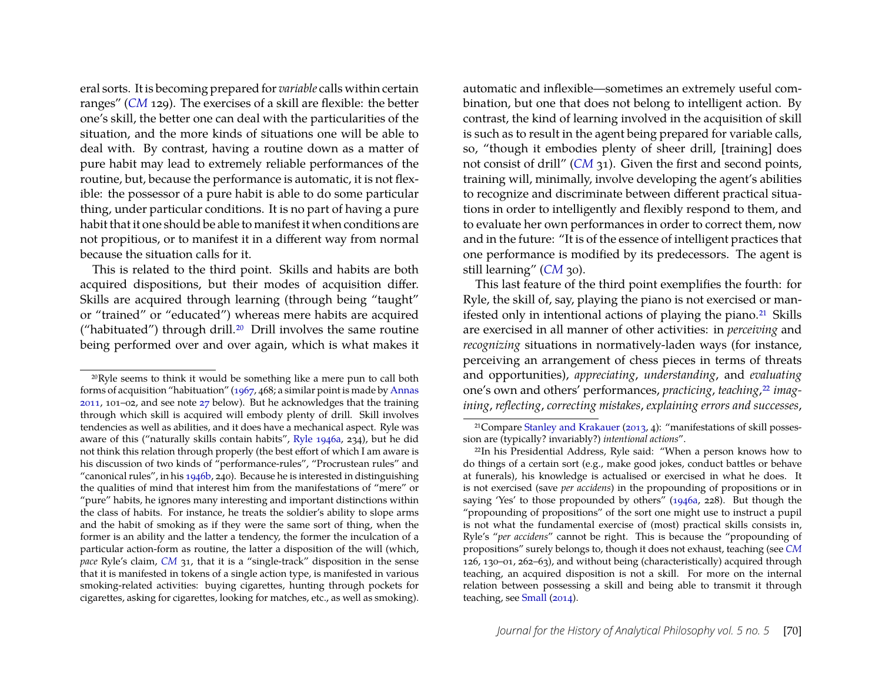eral sorts. It is becoming prepared for *variable* calls within certain ranges" (*[CM](#page-20-1)* 129). The exercises of a skill are flexible: the better one's skill, the better one can deal with the particularities of the situation, and the more kinds of situations one will be able to deal with. By contrast, having a routine down as a matter of pure habit may lead to extremely reliable performances of the routine, but, because the performance is automatic, it is not flexible: the possessor of a pure habit is able to do some particular thing, under particular conditions. It is no part of having a pure habit that it one should be able to manifest it when conditions are not propitious, or to manifest it in a different way from normal because the situation calls for it.

This is related to the third point. Skills and habits are both acquired dispositions, but their modes of acquisition differ. Skills are acquired through learning (through being "taught" or "trained" or "educated") whereas mere habits are acquired ("habituated") through drill.[20](#page-14-0) Drill involves the same routine being performed over and over again, which is what makes it

automatic and inflexible—sometimes an extremely useful combination, but one that does not belong to intelligent action. By contrast, the kind of learning involved in the acquisition of skill is such as to result in the agent being prepared for variable calls, so, "though it embodies plenty of sheer drill, [training] does not consist of drill" (*[CM](#page-20-1)* 31). Given the first and second points, training will, minimally, involve developing the agent's abilities to recognize and discriminate between different practical situations in order to intelligently and flexibly respond to them, and to evaluate her own performances in order to correct them, now and in the future: "It is of the essence of intelligent practices that one performance is modified by its predecessors. The agent is still learning" (*[CM](#page-20-1)* 30).

This last feature of the third point exemplifies the fourth: for Ryle, the skill of, say, playing the piano is not exercised or man-ifested only in intentional actions of playing the piano.<sup>[21](#page-14-1)</sup> Skills are exercised in all manner of other activities: in *perceiving* and *recognizing* situations in normatively-laden ways (for instance, perceiving an arrangement of chess pieces in terms of threats and opportunities), *appreciating*, *understanding*, and *evaluating* one's own and others' performances, *practicing*, *teaching*,[22](#page-14-2) *imagining*, *reflecting*, *correcting mistakes*, *explaining errors and successes*,

<span id="page-14-0"></span><sup>20</sup>Ryle seems to think it would be something like a mere pun to call both forms of acquisition "habituation" [\(1967,](#page-20-13) 468; a similar point is made by [Annas](#page-19-12) [2011,](#page-19-12) 101–02, and see note [27](#page-17-0) below). But he acknowledges that the training through which skill is acquired will embody plenty of drill. Skill involves tendencies as well as abilities, and it does have a mechanical aspect. Ryle was aware of this ("naturally skills contain habits", [Ryle 1946a,](#page-20-0) 234), but he did not think this relation through properly (the best effort of which I am aware is his discussion of two kinds of "performance-rules", "Procrustean rules" and "canonical rules", in his [1946b,](#page-20-14) 240). Because he is interested in distinguishing the qualities of mind that interest him from the manifestations of "mere" or "pure" habits, he ignores many interesting and important distinctions within the class of habits. For instance, he treats the soldier's ability to slope arms and the habit of smoking as if they were the same sort of thing, when the former is an ability and the latter a tendency, the former the inculcation of a particular action-form as routine, the latter a disposition of the will (which, *pace* Ryle's claim, *[CM](#page-20-1)* 31, that it is a "single-track" disposition in the sense that it is manifested in tokens of a single action type, is manifested in various smoking-related activities: buying cigarettes, hunting through pockets for cigarettes, asking for cigarettes, looking for matches, etc., as well as smoking).

<span id="page-14-1"></span><sup>21</sup>Compare [Stanley and Krakauer](#page-20-9) [\(2013,](#page-20-9) 4): "manifestations of skill possession are (typically? invariably?) *intentional actions*".

<span id="page-14-2"></span><sup>22</sup>In his Presidential Address, Ryle said: "When a person knows how to do things of a certain sort (e.g., make good jokes, conduct battles or behave at funerals), his knowledge is actualised or exercised in what he does. It is not exercised (save *per accidens*) in the propounding of propositions or in saying 'Yes' to those propounded by others" [\(1946a,](#page-20-0) 228). But though the "propounding of propositions" of the sort one might use to instruct a pupil is not what the fundamental exercise of (most) practical skills consists in, Ryle's "*per accidens*" cannot be right. This is because the "propounding of propositions" surely belongs to, though it does not exhaust, teaching (see *[CM](#page-20-1)* 126, 130–01, 262–63), and without being (characteristically) acquired through teaching, an acquired disposition is not a skill. For more on the internal relation between possessing a skill and being able to transmit it through teaching, see [Small](#page-20-15) [\(2014\)](#page-20-15).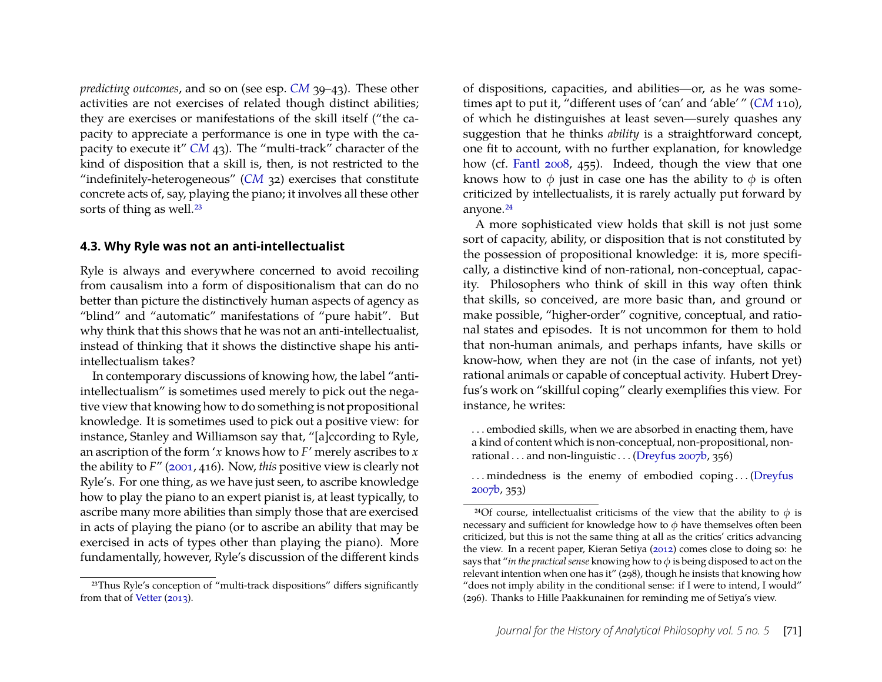*predicting outcomes*, and so on (see esp. *[CM](#page-20-1)* 39–43). These other activities are not exercises of related though distinct abilities; they are exercises or manifestations of the skill itself ("the capacity to appreciate a performance is one in type with the capacity to execute it" *[CM](#page-20-1)* 43). The "multi-track" character of the kind of disposition that a skill is, then, is not restricted to the "indefinitely-heterogeneous" (*[CM](#page-20-1)* 32) exercises that constitute concrete acts of, say, playing the piano; it involves all these other sorts of thing as well.<sup>[23](#page-15-0)</sup>

#### **4.3. Why Ryle was not an anti-intellectualist**

Ryle is always and everywhere concerned to avoid recoiling from causalism into a form of dispositionalism that can do no better than picture the distinctively human aspects of agency as "blind" and "automatic" manifestations of "pure habit". But why think that this shows that he was not an anti-intellectualist, instead of thinking that it shows the distinctive shape his antiintellectualism takes?

In contemporary discussions of knowing how, the label "antiintellectualism" is sometimes used merely to pick out the negative view that knowing how to do something is not propositional knowledge. It is sometimes used to pick out a positive view: for instance, Stanley and Williamson say that, "[a]ccording to Ryle, an ascription of the form '*x* knows how to *F*' merely ascribes to *x* the ability to *F*" [\(2001,](#page-20-7) 416). Now, *this* positive view is clearly not Ryle's. For one thing, as we have just seen, to ascribe knowledge how to play the piano to an expert pianist is, at least typically, to ascribe many more abilities than simply those that are exercised in acts of playing the piano (or to ascribe an ability that may be exercised in acts of types other than playing the piano). More fundamentally, however, Ryle's discussion of the different kinds

of dispositions, capacities, and abilities—or, as he was sometimes apt to put it, "different uses of 'can' and 'able' " (*[CM](#page-20-1)* 110), of which he distinguishes at least seven—surely quashes any suggestion that he thinks *ability* is a straightforward concept, one fit to account, with no further explanation, for knowledge how (cf. [Fantl 2008,](#page-19-13) 455). Indeed, though the view that one knows how to  $\phi$  just in case one has the ability to  $\phi$  is often criticized by intellectualists, it is rarely actually put forward by anyone.[24](#page-15-1)

A more sophisticated view holds that skill is not just some sort of capacity, ability, or disposition that is not constituted by the possession of propositional knowledge: it is, more specifically, a distinctive kind of non-rational, non-conceptual, capacity. Philosophers who think of skill in this way often think that skills, so conceived, are more basic than, and ground or make possible, "higher-order" cognitive, conceptual, and rational states and episodes. It is not uncommon for them to hold that non-human animals, and perhaps infants, have skills or know-how, when they are not (in the case of infants, not yet) rational animals or capable of conceptual activity. Hubert Dreyfus's work on "skillful coping" clearly exemplifies this view. For instance, he writes:

. . . embodied skills, when we are absorbed in enacting them, have a kind of content which is non-conceptual, non-propositional, nonrational . . . and non-linguistic . . . [\(Dreyfus 2007b,](#page-19-14) 356)

... mindedness is the enemy of embodied coping... [\(Dreyfus](#page-19-14) [2007b,](#page-19-14) 353)

<span id="page-15-0"></span><sup>23</sup>Thus Ryle's conception of "multi-track dispositions" differs significantly from that of [Vetter](#page-20-16) [\(2013\)](#page-20-16).

<span id="page-15-1"></span><sup>&</sup>lt;sup>24</sup>Of course, intellectualist criticisms of the view that the ability to  $\phi$  is necessary and sufficient for knowledge how to  $\phi$  have themselves often been criticized, but this is not the same thing at all as the critics' critics advancing the view. In a recent paper, Kieran Setiya [\(2012\)](#page-20-17) comes close to doing so: he says that "*in the practical sense* knowing how to φ is being disposed to act on the relevant intention when one has it" (298), though he insists that knowing how "does not imply ability in the conditional sense: if I were to intend, I would" (296). Thanks to Hille Paakkunainen for reminding me of Setiya's view.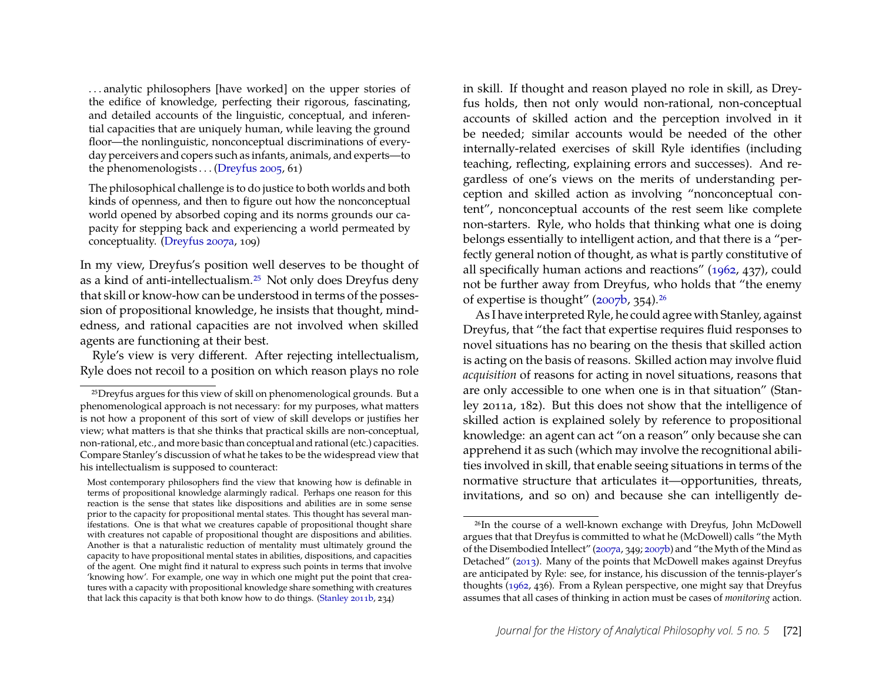. . . analytic philosophers [have worked] on the upper stories of the edifice of knowledge, perfecting their rigorous, fascinating, and detailed accounts of the linguistic, conceptual, and inferential capacities that are uniquely human, while leaving the ground floor—the nonlinguistic, nonconceptual discriminations of everyday perceivers and copers such as infants, animals, and experts—to the phenomenologists . . . [\(Dreyfus 2005,](#page-19-15) 61)

The philosophical challenge is to do justice to both worlds and both kinds of openness, and then to figure out how the nonconceptual world opened by absorbed coping and its norms grounds our capacity for stepping back and experiencing a world permeated by conceptuality. [\(Dreyfus 2007a,](#page-19-16) 109)

In my view, Dreyfus's position well deserves to be thought of as a kind of anti-intellectualism.[25](#page-16-0) Not only does Dreyfus deny that skill or know-how can be understood in terms of the possession of propositional knowledge, he insists that thought, mindedness, and rational capacities are not involved when skilled agents are functioning at their best.

Ryle's view is very different. After rejecting intellectualism, Ryle does not recoil to a position on which reason plays no role

Most contemporary philosophers find the view that knowing how is definable in terms of propositional knowledge alarmingly radical. Perhaps one reason for this reaction is the sense that states like dispositions and abilities are in some sense prior to the capacity for propositional mental states. This thought has several manifestations. One is that what we creatures capable of propositional thought share with creatures not capable of propositional thought are dispositions and abilities. Another is that a naturalistic reduction of mentality must ultimately ground the capacity to have propositional mental states in abilities, dispositions, and capacities of the agent. One might find it natural to express such points in terms that involve 'knowing how'. For example, one way in which one might put the point that creatures with a capacity with propositional knowledge share something with creatures that lack this capacity is that both know how to do things. [\(Stanley 2011b,](#page-20-4) 234)

in skill. If thought and reason played no role in skill, as Dreyfus holds, then not only would non-rational, non-conceptual accounts of skilled action and the perception involved in it be needed; similar accounts would be needed of the other internally-related exercises of skill Ryle identifies (including teaching, reflecting, explaining errors and successes). And regardless of one's views on the merits of understanding perception and skilled action as involving "nonconceptual content", nonconceptual accounts of the rest seem like complete non-starters. Ryle, who holds that thinking what one is doing belongs essentially to intelligent action, and that there is a "perfectly general notion of thought, as what is partly constitutive of all specifically human actions and reactions" [\(1962,](#page-20-18) 437), could not be further away from Dreyfus, who holds that "the enemy of expertise is thought" [\(2007b,](#page-19-14) 354).[26](#page-16-1)

As I have interpreted Ryle, he could agree with Stanley, against Dreyfus, that "the fact that expertise requires fluid responses to novel situations has no bearing on the thesis that skilled action is acting on the basis of reasons. Skilled action may involve fluid *acquisition* of reasons for acting in novel situations, reasons that are only accessible to one when one is in that situation" (Stanley 2011a, 182). But this does not show that the intelligence of skilled action is explained solely by reference to propositional knowledge: an agent can act "on a reason" only because she can apprehend it as such (which may involve the recognitional abilities involved in skill, that enable seeing situations in terms of the normative structure that articulates it—opportunities, threats, invitations, and so on) and because she can intelligently de-

<span id="page-16-0"></span><sup>25</sup>Dreyfus argues for this view of skill on phenomenological grounds. But a phenomenological approach is not necessary: for my purposes, what matters is not how a proponent of this sort of view of skill develops or justifies her view; what matters is that she thinks that practical skills are non-conceptual, non-rational, etc., and more basic than conceptual and rational (etc.) capacities. Compare Stanley's discussion of what he takes to be the widespread view that his intellectualism is supposed to counteract:

<span id="page-16-1"></span><sup>&</sup>lt;sup>26</sup>In the course of a well-known exchange with Dreyfus, John McDowell argues that that Dreyfus is committed to what he (McDowell) calls "the Myth of the Disembodied Intellect" [\(2007a,](#page-20-19) 349; [2007b\)](#page-20-20) and "the Myth of the Mind as Detached" [\(2013\)](#page-20-21). Many of the points that McDowell makes against Dreyfus are anticipated by Ryle: see, for instance, his discussion of the tennis-player's thoughts [\(1962,](#page-20-18) 436). From a Rylean perspective, one might say that Dreyfus assumes that all cases of thinking in action must be cases of *monitoring* action.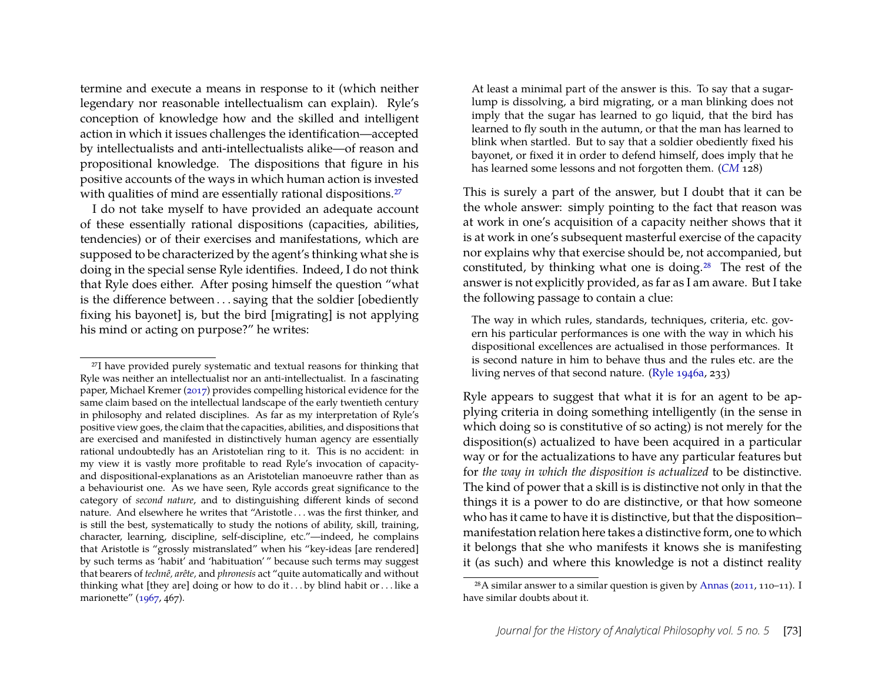termine and execute a means in response to it (which neither legendary nor reasonable intellectualism can explain). Ryle's conception of knowledge how and the skilled and intelligent action in which it issues challenges the identification—accepted by intellectualists and anti-intellectualists alike—of reason and propositional knowledge. The dispositions that figure in his positive accounts of the ways in which human action is invested with qualities of mind are essentially rational dispositions.<sup>[27](#page-17-0)</sup>

I do not take myself to have provided an adequate account of these essentially rational dispositions (capacities, abilities, tendencies) or of their exercises and manifestations, which are supposed to be characterized by the agent's thinking what she is doing in the special sense Ryle identifies. Indeed, I do not think that Ryle does either. After posing himself the question "what is the difference between . . . saying that the soldier [obediently fixing his bayonet] is, but the bird [migrating] is not applying his mind or acting on purpose?" he writes:

At least a minimal part of the answer is this. To say that a sugarlump is dissolving, a bird migrating, or a man blinking does not imply that the sugar has learned to go liquid, that the bird has learned to fly south in the autumn, or that the man has learned to blink when startled. But to say that a soldier obediently fixed his bayonet, or fixed it in order to defend himself, does imply that he has learned some lessons and not forgotten them. (*[CM](#page-20-1)* 128)

This is surely a part of the answer, but I doubt that it can be the whole answer: simply pointing to the fact that reason was at work in one's acquisition of a capacity neither shows that it is at work in one's subsequent masterful exercise of the capacity nor explains why that exercise should be, not accompanied, but constituted, by thinking what one is doing.[28](#page-17-1) The rest of the answer is not explicitly provided, as far as I am aware. But I take the following passage to contain a clue:

The way in which rules, standards, techniques, criteria, etc. govern his particular performances is one with the way in which his dispositional excellences are actualised in those performances. It is second nature in him to behave thus and the rules etc. are the living nerves of that second nature. [\(Ryle 1946a,](#page-20-0) 233)

Ryle appears to suggest that what it is for an agent to be applying criteria in doing something intelligently (in the sense in which doing so is constitutive of so acting) is not merely for the disposition(s) actualized to have been acquired in a particular way or for the actualizations to have any particular features but for *the way in which the disposition is actualized* to be distinctive. The kind of power that a skill is is distinctive not only in that the things it is a power to do are distinctive, or that how someone who has it came to have it is distinctive, but that the disposition– manifestation relation here takes a distinctive form, one to which it belongs that she who manifests it knows she is manifesting it (as such) and where this knowledge is not a distinct reality

<span id="page-17-0"></span><sup>&</sup>lt;sup>27</sup>I have provided purely systematic and textual reasons for thinking that Ryle was neither an intellectualist nor an anti-intellectualist. In a fascinating paper, Michael Kremer [\(2017\)](#page-20-22) provides compelling historical evidence for the same claim based on the intellectual landscape of the early twentieth century in philosophy and related disciplines. As far as my interpretation of Ryle's positive view goes, the claim that the capacities, abilities, and dispositions that are exercised and manifested in distinctively human agency are essentially rational undoubtedly has an Aristotelian ring to it. This is no accident: in my view it is vastly more profitable to read Ryle's invocation of capacityand dispositional-explanations as an Aristotelian manoeuvre rather than as a behaviourist one. As we have seen, Ryle accords great significance to the category of *second nature*, and to distinguishing different kinds of second nature. And elsewhere he writes that "Aristotle . . . was the first thinker, and is still the best, systematically to study the notions of ability, skill, training, character, learning, discipline, self-discipline, etc."—indeed, he complains that Aristotle is "grossly mistranslated" when his "key-ideas [are rendered] by such terms as 'habit' and 'habituation' " because such terms may suggest that bearers of *technê, arête,* and *phronesis* act "quite automatically and without thinking what [they are] doing or how to do it ... by blind habit or ... like a marionette" [\(1967,](#page-20-13) 467).

<span id="page-17-1"></span><sup>&</sup>lt;sup>28</sup>A similar answer to a similar question is given by [Annas](#page-19-12) [\(2011,](#page-19-12) 110–11). I have similar doubts about it.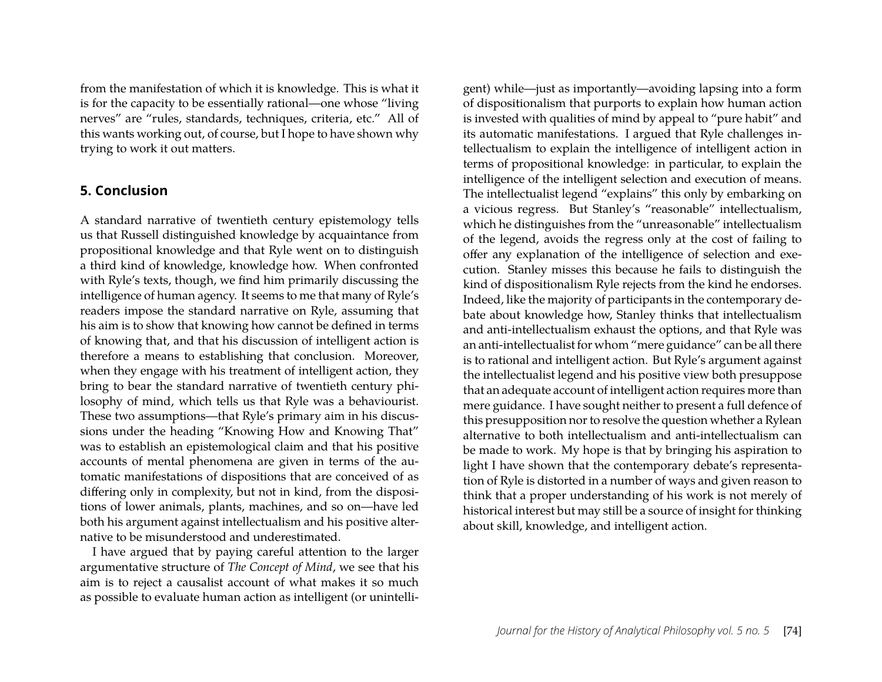from the manifestation of which it is knowledge. This is what it is for the capacity to be essentially rational—one whose "living nerves" are "rules, standards, techniques, criteria, etc." All of this wants working out, of course, but I hope to have shown why trying to work it out matters.

#### **5. Conclusion**

A standard narrative of twentieth century epistemology tells us that Russell distinguished knowledge by acquaintance from propositional knowledge and that Ryle went on to distinguish a third kind of knowledge, knowledge how. When confronted with Ryle's texts, though, we find him primarily discussing the intelligence of human agency. It seems to me that many of Ryle's readers impose the standard narrative on Ryle, assuming that his aim is to show that knowing how cannot be defined in terms of knowing that, and that his discussion of intelligent action is therefore a means to establishing that conclusion. Moreover, when they engage with his treatment of intelligent action, they bring to bear the standard narrative of twentieth century philosophy of mind, which tells us that Ryle was a behaviourist. These two assumptions—that Ryle's primary aim in his discussions under the heading "Knowing How and Knowing That" was to establish an epistemological claim and that his positive accounts of mental phenomena are given in terms of the automatic manifestations of dispositions that are conceived of as differing only in complexity, but not in kind, from the dispositions of lower animals, plants, machines, and so on—have led both his argument against intellectualism and his positive alternative to be misunderstood and underestimated.

I have argued that by paying careful attention to the larger argumentative structure of *The Concept of Mind*, we see that his aim is to reject a causalist account of what makes it so much as possible to evaluate human action as intelligent (or unintelli-

gent) while—just as importantly—avoiding lapsing into a form of dispositionalism that purports to explain how human action is invested with qualities of mind by appeal to "pure habit" and its automatic manifestations. I argued that Ryle challenges intellectualism to explain the intelligence of intelligent action in terms of propositional knowledge: in particular, to explain the intelligence of the intelligent selection and execution of means. The intellectualist legend "explains" this only by embarking on a vicious regress. But Stanley's "reasonable" intellectualism, which he distinguishes from the "unreasonable" intellectualism of the legend, avoids the regress only at the cost of failing to offer any explanation of the intelligence of selection and execution. Stanley misses this because he fails to distinguish the kind of dispositionalism Ryle rejects from the kind he endorses. Indeed, like the majority of participants in the contemporary debate about knowledge how, Stanley thinks that intellectualism and anti-intellectualism exhaust the options, and that Ryle was an anti-intellectualist for whom "mere guidance" can be all there is to rational and intelligent action. But Ryle's argument against the intellectualist legend and his positive view both presuppose that an adequate account of intelligent action requires more than mere guidance. I have sought neither to present a full defence of this presupposition nor to resolve the question whether a Rylean alternative to both intellectualism and anti-intellectualism can be made to work. My hope is that by bringing his aspiration to light I have shown that the contemporary debate's representation of Ryle is distorted in a number of ways and given reason to think that a proper understanding of his work is not merely of historical interest but may still be a source of insight for thinking about skill, knowledge, and intelligent action.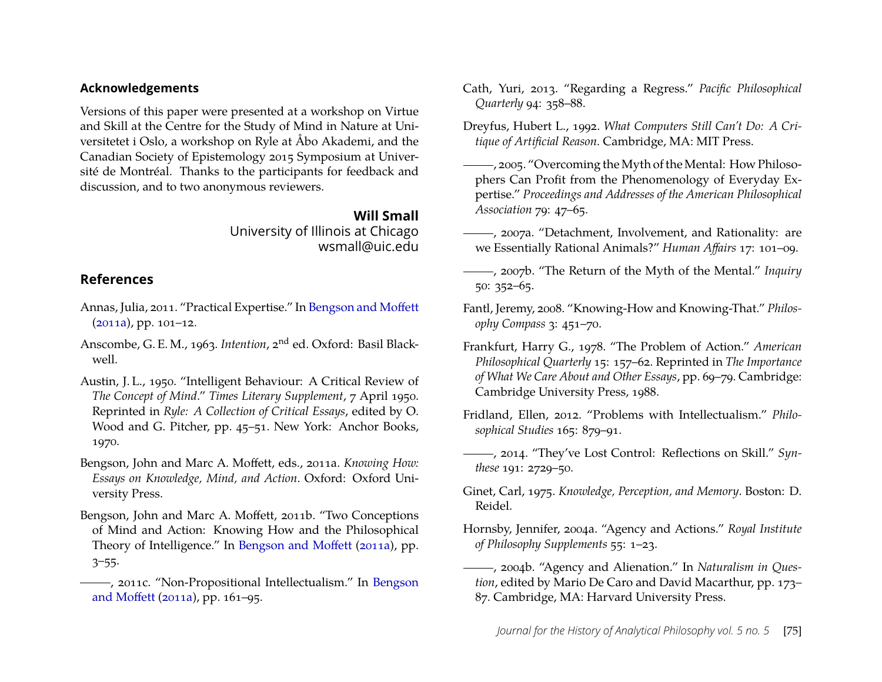#### **Acknowledgements**

Versions of this paper were presented at a workshop on Virtue and Skill at the Centre for the Study of Mind in Nature at Universitetet i Oslo, a workshop on Ryle at Åbo Akademi, and the Canadian Society of Epistemology 2015 Symposium at Université de Montréal. Thanks to the participants for feedback and discussion, and to two anonymous reviewers.

#### **Will Small**

University of Illinois at Chicago wsmall@uic.edu

## **References**

- <span id="page-19-12"></span>Annas, Julia, 2011. "Practical Expertise." In [Bengson and Moffett](#page-19-17) [\(2011a\)](#page-19-17), pp. 101–12.
- <span id="page-19-11"></span>Anscombe, G. E. M., 1963. *Intention*, 2nd ed. Oxford: Basil Blackwell.
- <span id="page-19-2"></span>Austin, J. L., 1950. "Intelligent Behaviour: A Critical Review of *The Concept of Mind*." *Times Literary Supplement*, 7 April 1950. Reprinted in *Ryle: A Collection of Critical Essays*, edited by O. Wood and G. Pitcher, pp. 45–51. New York: Anchor Books, 1970.
- <span id="page-19-17"></span>Bengson, John and Marc A. Moffett, eds., 2011a. *Knowing How: Essays on Knowledge, Mind, and Action*. Oxford: Oxford University Press.
- <span id="page-19-1"></span>Bengson, John and Marc A. Moffett, 2011b. "Two Conceptions of Mind and Action: Knowing How and the Philosophical Theory of Intelligence." In [Bengson and Moffett](#page-19-17) [\(2011a\)](#page-19-17), pp. 3–55.
- <span id="page-19-10"></span>, 2011c. "Non-Propositional Intellectualism." In [Bengson](#page-19-17) [and Moffett](#page-19-17) [\(2011a\)](#page-19-17), pp. 161–95.

<span id="page-19-0"></span>Cath, Yuri, 2013. "Regarding a Regress." *Pacific Philosophical Quarterly* 94: 358–88.

<span id="page-19-4"></span>Dreyfus, Hubert L., 1992. *What Computers Still Can't Do: A Critique of Artificial Reason.* Cambridge, MA: MIT Press.

- <span id="page-19-15"></span>, 2005. "Overcoming the Myth of the Mental: How Philosophers Can Profit from the Phenomenology of Everyday Expertise." *Proceedings and Addresses of the American Philosophical Association* 79: 47–65.
- <span id="page-19-16"></span>, 2007a. "Detachment, Involvement, and Rationality: are we Essentially Rational Animals?" *Human Affairs* 17: 101–09.
- <span id="page-19-14"></span>, 2007b. "The Return of the Myth of the Mental." *Inquiry* 50: 352–65.
- <span id="page-19-13"></span>Fantl, Jeremy, 2008. "Knowing-How and Knowing-That." *Philosophy Compass* 3: 451–70.
- <span id="page-19-7"></span>Frankfurt, Harry G., 1978. "The Problem of Action." *American Philosophical Quarterly* 15: 157–62. Reprinted in *The Importance of What We Care About and Other Essays*, pp. 69–79. Cambridge: Cambridge University Press, 1988.
- <span id="page-19-5"></span>Fridland, Ellen, 2012. "Problems with Intellectualism." *Philosophical Studies* 165: 879–91.
- <span id="page-19-6"></span>, 2014. "They've Lost Control: Reflections on Skill." *Synthese* 191: 2729–50.
- <span id="page-19-3"></span>Ginet, Carl, 1975. *Knowledge, Perception, and Memory*. Boston: D. Reidel.
- <span id="page-19-8"></span>Hornsby, Jennifer, 2004a. "Agency and Actions." *Royal Institute of Philosophy Supplements* 55: 1–23.
- <span id="page-19-9"></span>, 2004b. "Agency and Alienation." In *Naturalism in Question*, edited by Mario De Caro and David Macarthur, pp. 173– 87. Cambridge, MA: Harvard University Press.